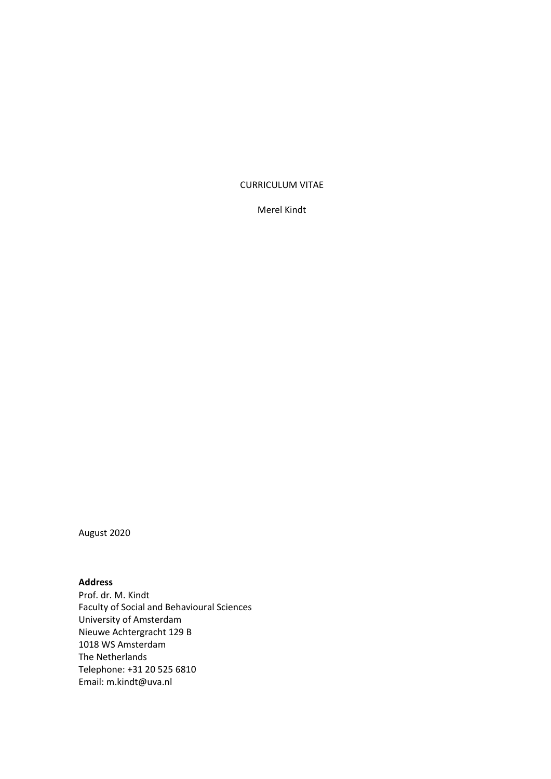### CURRICULUM VITAE

Merel Kindt

August 2020

## **Address**

Prof. dr. M. Kindt Faculty of Social and Behavioural Sciences University of Amsterdam Nieuwe Achtergracht 129 B 1018 WS Amsterdam The Netherlands Telephone: +31 20 525 6810 Email: [m.kindt@uva.nl](mailto:m.kindt@uva.nl)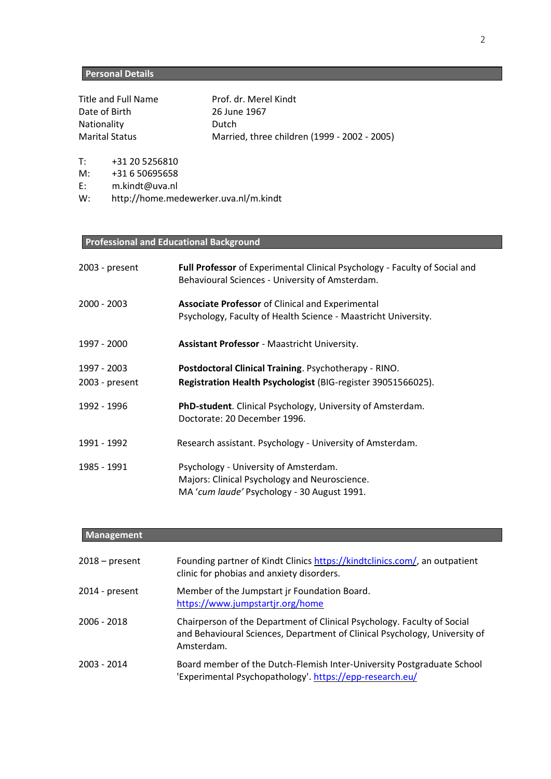## **Personal Details**

Title and Full Name Prof. dr. Merel Kindt Date of Birth 26 June 1967 Nationality **Dutch** 

Marital Status Married, three children (1999 - 2002 - 2005)

T: +31 20 5256810

M: +31 6 50695658

E: [m.kindt@uva.nl](mailto:m.kindt@uva.nl)

W: <http://home.medewerker.uva.nl/m.kindt>

## **Professional and Educational Background**

| 2003 - present | <b>Full Professor</b> of Experimental Clinical Psychology - Faculty of Social and<br>Behavioural Sciences - University of Amsterdam.  |
|----------------|---------------------------------------------------------------------------------------------------------------------------------------|
| $2000 - 2003$  | <b>Associate Professor</b> of Clinical and Experimental<br>Psychology, Faculty of Health Science - Maastricht University.             |
| 1997 - 2000    | Assistant Professor - Maastricht University.                                                                                          |
| 1997 - 2003    | Postdoctoral Clinical Training. Psychotherapy - RINO.                                                                                 |
| 2003 - present | Registration Health Psychologist (BIG-register 39051566025).                                                                          |
| 1992 - 1996    | PhD-student. Clinical Psychology, University of Amsterdam.<br>Doctorate: 20 December 1996.                                            |
| 1991 - 1992    | Research assistant. Psychology - University of Amsterdam.                                                                             |
| 1985 - 1991    | Psychology - University of Amsterdam.<br>Majors: Clinical Psychology and Neuroscience.<br>MA 'cum laude' Psychology - 30 August 1991. |

### **Management**

| $2018 - present$ | Founding partner of Kindt Clinics https://kindtclinics.com/, an outpatient<br>clinic for phobias and anxiety disorders.                                             |
|------------------|---------------------------------------------------------------------------------------------------------------------------------------------------------------------|
| 2014 - present   | Member of the Jumpstart jr Foundation Board.<br>https://www.jumpstartjr.org/home                                                                                    |
| 2006 - 2018      | Chairperson of the Department of Clinical Psychology. Faculty of Social<br>and Behavioural Sciences, Department of Clinical Psychology, University of<br>Amsterdam. |
| 2003 - 2014      | Board member of the Dutch-Flemish Inter-University Postgraduate School<br>'Experimental Psychopathology'. https://epp-research.eu/                                  |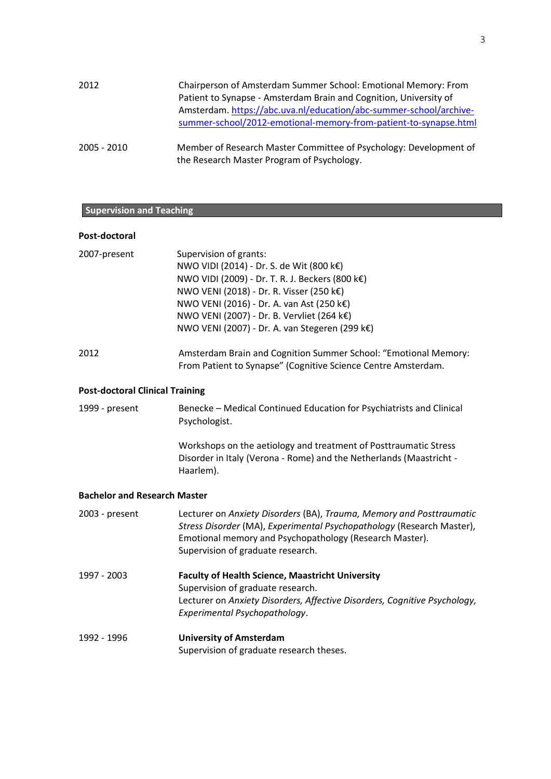| 2012        | Chairperson of Amsterdam Summer School: Emotional Memory: From                                                  |
|-------------|-----------------------------------------------------------------------------------------------------------------|
|             | Patient to Synapse - Amsterdam Brain and Cognition, University of                                               |
|             | Amsterdam. https://abc.uva.nl/education/abc-summer-school/archive-                                              |
|             | summer-school/2012-emotional-memory-from-patient-to-synapse.html                                                |
|             |                                                                                                                 |
| 2005 - 2010 | Member of Research Master Committee of Psychology: Development of<br>the Research Master Program of Psychology. |

## **Supervision and Teaching**

| Post-doctoral                          |                                                                                                                                                                                                                                                                                                                |
|----------------------------------------|----------------------------------------------------------------------------------------------------------------------------------------------------------------------------------------------------------------------------------------------------------------------------------------------------------------|
| 2007-present                           | Supervision of grants:<br>NWO VIDI (2014) - Dr. S. de Wit (800 k€)<br>NWO VIDI (2009) - Dr. T. R. J. Beckers (800 k€)<br>NWO VENI (2018) - Dr. R. Visser (250 k€)<br>NWO VENI (2016) - Dr. A. van Ast (250 k€)<br>NWO VENI (2007) - Dr. B. Vervliet (264 k€)<br>NWO VENI (2007) - Dr. A. van Stegeren (299 k€) |
| 2012                                   | Amsterdam Brain and Cognition Summer School: "Emotional Memory:<br>From Patient to Synapse" (Cognitive Science Centre Amsterdam.                                                                                                                                                                               |
| <b>Post-doctoral Clinical Training</b> |                                                                                                                                                                                                                                                                                                                |
| 1999 - present                         | Benecke - Medical Continued Education for Psychiatrists and Clinical<br>Psychologist.                                                                                                                                                                                                                          |
|                                        | Workshops on the aetiology and treatment of Posttraumatic Stress<br>Disorder in Italy (Verona - Rome) and the Netherlands (Maastricht -<br>Haarlem).                                                                                                                                                           |
| <b>Bachelor and Research Master</b>    |                                                                                                                                                                                                                                                                                                                |
| 2003 - present                         | Lecturer on Anxiety Disorders (BA), Trauma, Memory and Posttraumatic<br>Stress Disorder (MA), Experimental Psychopathology (Research Master),<br>Emotional memory and Psychopathology (Research Master).<br>Supervision of graduate research.                                                                  |
| 1997 - 2003                            | <b>Faculty of Health Science, Maastricht University</b><br>Supervision of graduate research.<br>Lecturer on Anxiety Disorders, Affective Disorders, Cognitive Psychology,<br>Experimental Psychopathology.                                                                                                     |
| 1992 - 1996                            | <b>University of Amsterdam</b><br>Supervision of graduate research theses.                                                                                                                                                                                                                                     |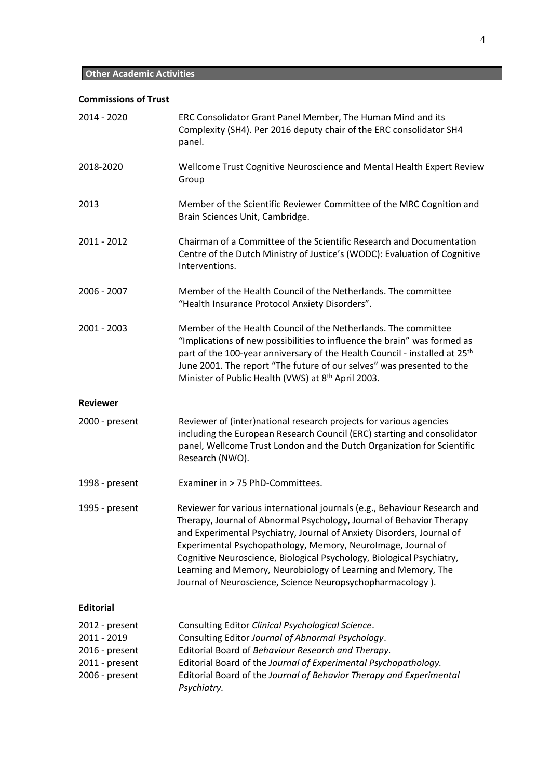## **Commissions of Trust**

| 2014 - 2020                                                                         | ERC Consolidator Grant Panel Member, The Human Mind and its<br>Complexity (SH4). Per 2016 deputy chair of the ERC consolidator SH4<br>panel.                                                                                                                                                                                                                                                                                                                                                       |
|-------------------------------------------------------------------------------------|----------------------------------------------------------------------------------------------------------------------------------------------------------------------------------------------------------------------------------------------------------------------------------------------------------------------------------------------------------------------------------------------------------------------------------------------------------------------------------------------------|
| 2018-2020                                                                           | Wellcome Trust Cognitive Neuroscience and Mental Health Expert Review<br>Group                                                                                                                                                                                                                                                                                                                                                                                                                     |
| 2013                                                                                | Member of the Scientific Reviewer Committee of the MRC Cognition and<br>Brain Sciences Unit, Cambridge.                                                                                                                                                                                                                                                                                                                                                                                            |
| 2011 - 2012                                                                         | Chairman of a Committee of the Scientific Research and Documentation<br>Centre of the Dutch Ministry of Justice's (WODC): Evaluation of Cognitive<br>Interventions.                                                                                                                                                                                                                                                                                                                                |
| 2006 - 2007                                                                         | Member of the Health Council of the Netherlands. The committee<br>"Health Insurance Protocol Anxiety Disorders".                                                                                                                                                                                                                                                                                                                                                                                   |
| 2001 - 2003                                                                         | Member of the Health Council of the Netherlands. The committee<br>"Implications of new possibilities to influence the brain" was formed as<br>part of the 100-year anniversary of the Health Council - installed at 25 <sup>th</sup><br>June 2001. The report "The future of our selves" was presented to the<br>Minister of Public Health (VWS) at 8 <sup>th</sup> April 2003.                                                                                                                    |
| <b>Reviewer</b>                                                                     |                                                                                                                                                                                                                                                                                                                                                                                                                                                                                                    |
| 2000 - present                                                                      | Reviewer of (inter)national research projects for various agencies<br>including the European Research Council (ERC) starting and consolidator<br>panel, Wellcome Trust London and the Dutch Organization for Scientific<br>Research (NWO).                                                                                                                                                                                                                                                         |
| 1998 - present                                                                      | Examiner in > 75 PhD-Committees.                                                                                                                                                                                                                                                                                                                                                                                                                                                                   |
| 1995 - present                                                                      | Reviewer for various international journals (e.g., Behaviour Research and<br>Therapy, Journal of Abnormal Psychology, Journal of Behavior Therapy<br>and Experimental Psychiatry, Journal of Anxiety Disorders, Journal of<br>Experimental Psychopathology, Memory, Neurolmage, Journal of<br>Cognitive Neuroscience, Biological Psychology, Biological Psychiatry,<br>Learning and Memory, Neurobiology of Learning and Memory, The<br>Journal of Neuroscience, Science Neuropsychopharmacology). |
| <b>Editorial</b>                                                                    |                                                                                                                                                                                                                                                                                                                                                                                                                                                                                                    |
| 2012 - present<br>2011 - 2019<br>2016 - present<br>2011 - present<br>2006 - present | Consulting Editor Clinical Psychological Science.<br>Consulting Editor Journal of Abnormal Psychology.<br>Editorial Board of Behaviour Research and Therapy.<br>Editorial Board of the Journal of Experimental Psychopathology.<br>Editorial Board of the Journal of Behavior Therapy and Experimental<br>Psychiatry.                                                                                                                                                                              |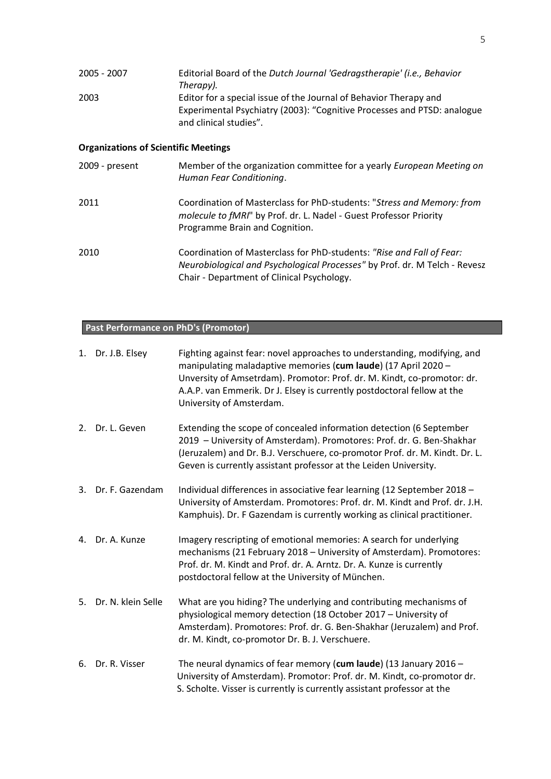| 2005 - 2007                                 | Editorial Board of the Dutch Journal 'Gedragstherapie' (i.e., Behavior<br>Therapy).                                                                                                               |  |  |
|---------------------------------------------|---------------------------------------------------------------------------------------------------------------------------------------------------------------------------------------------------|--|--|
| 2003                                        | Editor for a special issue of the Journal of Behavior Therapy and<br>Experimental Psychiatry (2003): "Cognitive Processes and PTSD: analogue<br>and clinical studies".                            |  |  |
| <b>Organizations of Scientific Meetings</b> |                                                                                                                                                                                                   |  |  |
| 2009 - present                              | Member of the organization committee for a yearly European Meeting on<br>Human Fear Conditioning.                                                                                                 |  |  |
| 2011                                        | Coordination of Masterclass for PhD-students: "Stress and Memory: from<br>molecule to fMRI" by Prof. dr. L. Nadel - Guest Professor Priority<br>Programme Brain and Cognition.                    |  |  |
| 2010                                        | Coordination of Masterclass for PhD-students: "Rise and Fall of Fear:<br>Neurobiological and Psychological Processes" by Prof. dr. M Telch - Revesz<br>Chair - Department of Clinical Psychology. |  |  |

## **Past Performance on PhD's (Promotor)**

|    | 1. Dr. J.B. Elsey  | Fighting against fear: novel approaches to understanding, modifying, and<br>manipulating maladaptive memories (cum laude) (17 April 2020 -<br>Unversity of Amsetrdam). Promotor: Prof. dr. M. Kindt, co-promotor: dr.<br>A.A.P. van Emmerik. Dr J. Elsey is currently postdoctoral fellow at the<br>University of Amsterdam. |
|----|--------------------|------------------------------------------------------------------------------------------------------------------------------------------------------------------------------------------------------------------------------------------------------------------------------------------------------------------------------|
| 2. | Dr. L. Geven       | Extending the scope of concealed information detection (6 September<br>2019 - University of Amsterdam). Promotores: Prof. dr. G. Ben-Shakhar<br>(Jeruzalem) and Dr. B.J. Verschuere, co-promotor Prof. dr. M. Kindt. Dr. L.<br>Geven is currently assistant professor at the Leiden University.                              |
| 3. | Dr. F. Gazendam    | Individual differences in associative fear learning (12 September 2018 -<br>University of Amsterdam. Promotores: Prof. dr. M. Kindt and Prof. dr. J.H.<br>Kamphuis). Dr. F Gazendam is currently working as clinical practitioner.                                                                                           |
| 4. | Dr. A. Kunze       | Imagery rescripting of emotional memories: A search for underlying<br>mechanisms (21 February 2018 - University of Amsterdam). Promotores:<br>Prof. dr. M. Kindt and Prof. dr. A. Arntz. Dr. A. Kunze is currently<br>postdoctoral fellow at the University of München.                                                      |
| 5. | Dr. N. klein Selle | What are you hiding? The underlying and contributing mechanisms of<br>physiological memory detection (18 October 2017 - University of<br>Amsterdam). Promotores: Prof. dr. G. Ben-Shakhar (Jeruzalem) and Prof.<br>dr. M. Kindt, co-promotor Dr. B. J. Verschuere.                                                           |
| 6. | Dr. R. Visser      | The neural dynamics of fear memory (cum laude) (13 January 2016 -<br>University of Amsterdam). Promotor: Prof. dr. M. Kindt, co-promotor dr.<br>S. Scholte. Visser is currently is currently assistant professor at the                                                                                                      |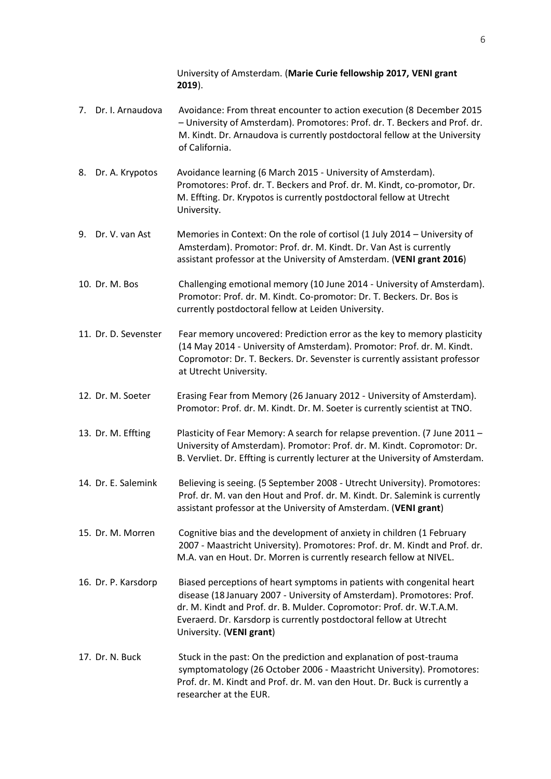University of Amsterdam. (**Marie Curie fellowship 2017, VENI grant 2019**).

- 7. Dr. I. Arnaudova Avoidance: From threat encounter to action execution (8 December 2015 – University of Amsterdam). Promotores: Prof. dr. T. Beckers and Prof. dr. M. Kindt. Dr. Arnaudova is currently postdoctoral fellow at the University of California.
- 8. Dr. A. Krypotos Avoidance learning (6 March 2015 University of Amsterdam). Promotores: Prof. dr. T. Beckers and Prof. dr. M. Kindt, co-promotor, Dr. M. Effting. Dr. Krypotos is currently postdoctoral fellow at Utrecht University.
- 9. Dr. V. van Ast Memories in Context: On the role of cortisol (1 July 2014 University of Amsterdam). Promotor: Prof. dr. M. Kindt. Dr. Van Ast is currently assistant professor at the University of Amsterdam. (**VENI grant 2016**)
- 10. Dr. M. Bos Challenging emotional memory (10 June 2014 University of Amsterdam). Promotor: Prof. dr. M. Kindt. Co-promotor: Dr. T. Beckers. Dr. Bos is currently postdoctoral fellow at Leiden University.
- 11. Dr. D. Sevenster Fear memory uncovered: Prediction error as the key to memory plasticity (14 May 2014 - University of Amsterdam). Promotor: Prof. dr. M. Kindt. Copromotor: Dr. T. Beckers. Dr. Sevenster is currently assistant professor at Utrecht University.
- 12. Dr. M. Soeter Erasing Fear from Memory (26 January 2012 University of Amsterdam). Promotor: Prof. dr. M. Kindt. Dr. M. Soeter is currently scientist at TNO.
- 13. Dr. M. Effting Plasticity of Fear Memory: A search for relapse prevention. (7 June 2011 University of Amsterdam). Promotor: Prof. dr. M. Kindt. Copromotor: Dr. B. Vervliet. Dr. Effting is currently lecturer at the University of Amsterdam.
- 14. Dr. E. Salemink Believing is seeing. (5 September 2008 Utrecht University). Promotores: Prof. dr. M. van den Hout and Prof. dr. M. Kindt. Dr. Salemink is currently assistant professor at the University of Amsterdam. (**VENI grant**)
- 15. Dr. M. Morren Cognitive bias and the development of anxiety in children (1 February 2007 - Maastricht University). Promotores: Prof. dr. M. Kindt and Prof. dr. M.A. van en Hout. Dr. Morren is currently research fellow at NIVEL.
- 16. Dr. P. Karsdorp Biased perceptions of heart symptoms in patients with congenital heart disease (18 January 2007 - University of Amsterdam). Promotores: Prof. dr. M. Kindt and Prof. dr. B. Mulder. Copromotor: Prof. dr. W.T.A.M. Everaerd. Dr. Karsdorp is currently postdoctoral fellow at Utrecht University. (**VENI grant**)
- 17. Dr. N. Buck Stuck in the past: On the prediction and explanation of post-trauma symptomatology (26 October 2006 - Maastricht University). Promotores: Prof. dr. M. Kindt and Prof. dr. M. van den Hout. Dr. Buck is currently a researcher at the EUR.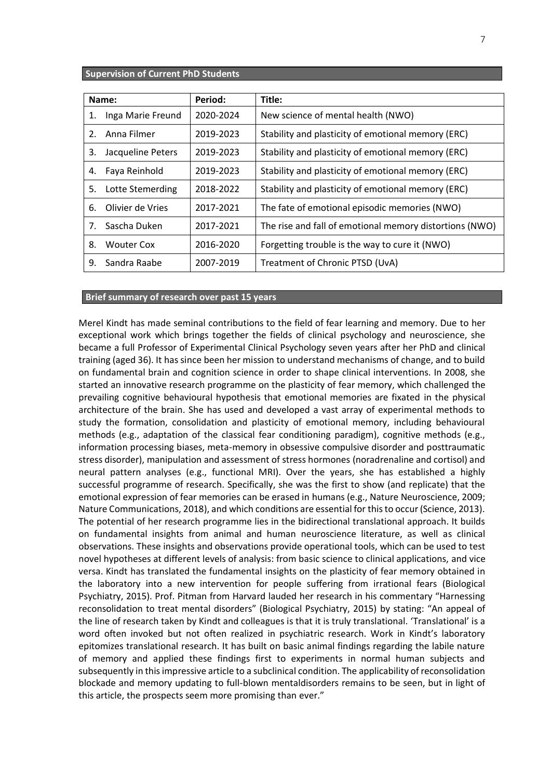#### **Supervision of Current PhD Students**

|    | Name:             | Period:   | Title:                                                  |
|----|-------------------|-----------|---------------------------------------------------------|
| 1. | Inga Marie Freund | 2020-2024 | New science of mental health (NWO)                      |
| 2. | Anna Filmer       | 2019-2023 | Stability and plasticity of emotional memory (ERC)      |
| 3. | Jacqueline Peters | 2019-2023 | Stability and plasticity of emotional memory (ERC)      |
| 4. | Faya Reinhold     | 2019-2023 | Stability and plasticity of emotional memory (ERC)      |
| 5. | Lotte Stemerding  | 2018-2022 | Stability and plasticity of emotional memory (ERC)      |
| 6. | Olivier de Vries  | 2017-2021 | The fate of emotional episodic memories (NWO)           |
| 7. | Sascha Duken      | 2017-2021 | The rise and fall of emotional memory distortions (NWO) |
| 8. | <b>Wouter Cox</b> | 2016-2020 | Forgetting trouble is the way to cure it (NWO)          |
| 9. | Sandra Raabe      | 2007-2019 | Treatment of Chronic PTSD (UvA)                         |

#### **Brief summary of research over past 15 years**

Merel Kindt has made seminal contributions to the field of fear learning and memory. Due to her exceptional work which brings together the fields of clinical psychology and neuroscience, she became a full Professor of Experimental Clinical Psychology seven years after her PhD and clinical training (aged 36). It has since been her mission to understand mechanisms of change, and to build on fundamental brain and cognition science in order to shape clinical interventions. In 2008, she started an innovative research programme on the plasticity of fear memory, which challenged the prevailing cognitive behavioural hypothesis that emotional memories are fixated in the physical architecture of the brain. She has used and developed a vast array of experimental methods to study the formation, consolidation and plasticity of emotional memory, including behavioural methods (e.g., adaptation of the classical fear conditioning paradigm), cognitive methods (e.g., information processing biases, meta-memory in obsessive compulsive disorder and posttraumatic stress disorder), manipulation and assessment of stress hormones (noradrenaline and cortisol) and neural pattern analyses (e.g., functional MRI). Over the years, she has established a highly successful programme of research. Specifically, she was the first to show (and replicate) that the emotional expression of fear memories can be erased in humans (e.g., Nature Neuroscience, 2009; Nature Communications, 2018), and which conditions are essential for this to occur (Science, 2013). The potential of her research programme lies in the bidirectional translational approach. It builds on fundamental insights from animal and human neuroscience literature, as well as clinical observations. These insights and observations provide operational tools, which can be used to test novel hypotheses at different levels of analysis: from basic science to clinical applications, and vice versa. Kindt has translated the fundamental insights on the plasticity of fear memory obtained in the laboratory into a new intervention for people suffering from irrational fears (Biological Psychiatry, 2015). Prof. Pitman from Harvard lauded her research in his commentary "Harnessing reconsolidation to treat mental disorders" (Biological Psychiatry, 2015) by stating: "An appeal of the line of research taken by Kindt and colleagues is that it is truly translational. 'Translational' is a word often invoked but not often realized in psychiatric research. Work in Kindt's laboratory epitomizes translational research. It has built on basic animal findings regarding the labile nature of memory and applied these findings first to experiments in normal human subjects and subsequently in this impressive article to a subclinical condition. The applicability of reconsolidation blockade and memory updating to full-blown mentaldisorders remains to be seen, but in light of this article, the prospects seem more promising than ever."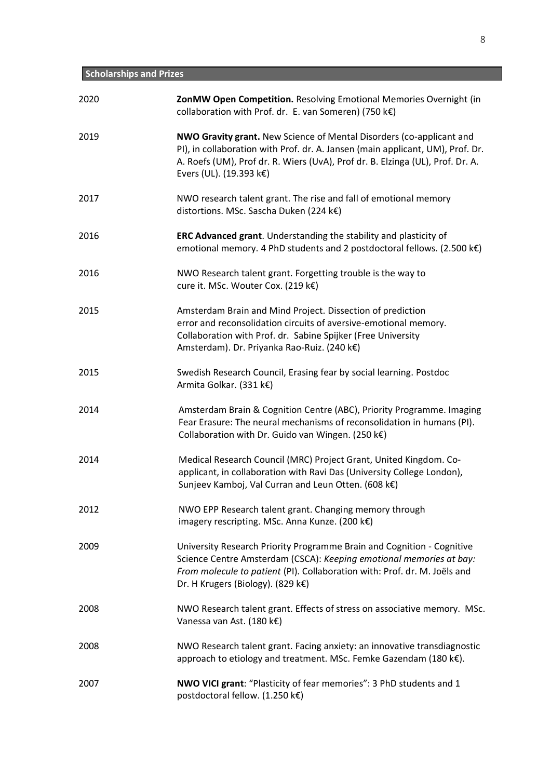# **Scholarships and Prizes**

| 2020 | ZonMW Open Competition. Resolving Emotional Memories Overnight (in<br>collaboration with Prof. dr. E. van Someren) (750 k€)                                                                                                                                                |
|------|----------------------------------------------------------------------------------------------------------------------------------------------------------------------------------------------------------------------------------------------------------------------------|
| 2019 | <b>NWO Gravity grant.</b> New Science of Mental Disorders (co-applicant and<br>PI), in collaboration with Prof. dr. A. Jansen (main applicant, UM), Prof. Dr.<br>A. Roefs (UM), Prof dr. R. Wiers (UvA), Prof dr. B. Elzinga (UL), Prof. Dr. A.<br>Evers (UL). (19.393 k€) |
| 2017 | NWO research talent grant. The rise and fall of emotional memory<br>distortions. MSc. Sascha Duken (224 k€)                                                                                                                                                                |
| 2016 | ERC Advanced grant. Understanding the stability and plasticity of<br>emotional memory. 4 PhD students and 2 postdoctoral fellows. (2.500 k€)                                                                                                                               |
| 2016 | NWO Research talent grant. Forgetting trouble is the way to<br>cure it. MSc. Wouter Cox. (219 k€)                                                                                                                                                                          |
| 2015 | Amsterdam Brain and Mind Project. Dissection of prediction<br>error and reconsolidation circuits of aversive-emotional memory.<br>Collaboration with Prof. dr. Sabine Spijker (Free University<br>Amsterdam). Dr. Priyanka Rao-Ruiz. (240 k€)                              |
| 2015 | Swedish Research Council, Erasing fear by social learning. Postdoc<br>Armita Golkar. (331 k€)                                                                                                                                                                              |
| 2014 | Amsterdam Brain & Cognition Centre (ABC), Priority Programme. Imaging<br>Fear Erasure: The neural mechanisms of reconsolidation in humans (PI).<br>Collaboration with Dr. Guido van Wingen. (250 k€)                                                                       |
| 2014 | Medical Research Council (MRC) Project Grant, United Kingdom. Co-<br>applicant, in collaboration with Ravi Das (University College London),<br>Sunjeev Kamboj, Val Curran and Leun Otten. (608 k€)                                                                         |
| 2012 | NWO EPP Research talent grant. Changing memory through<br>imagery rescripting. MSc. Anna Kunze. (200 k€)                                                                                                                                                                   |
| 2009 | University Research Priority Programme Brain and Cognition - Cognitive<br>Science Centre Amsterdam (CSCA): Keeping emotional memories at bay:<br>From molecule to patient (PI). Collaboration with: Prof. dr. M. Joëls and<br>Dr. H Krugers (Biology). (829 k€)            |
| 2008 | NWO Research talent grant. Effects of stress on associative memory. MSc.<br>Vanessa van Ast. (180 k€)                                                                                                                                                                      |
| 2008 | NWO Research talent grant. Facing anxiety: an innovative transdiagnostic<br>approach to etiology and treatment. MSc. Femke Gazendam (180 k€).                                                                                                                              |
| 2007 | NWO VICI grant: "Plasticity of fear memories": 3 PhD students and 1<br>postdoctoral fellow. (1.250 k€)                                                                                                                                                                     |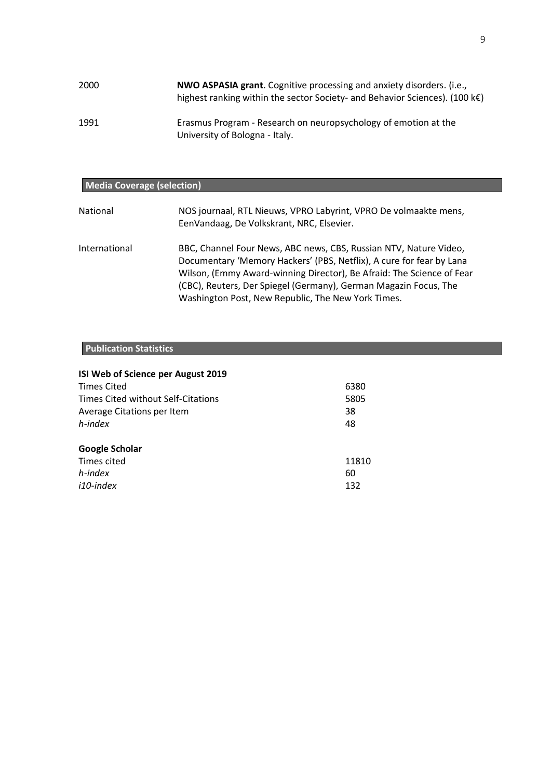| 2000 | NWO ASPASIA grant. Cognitive processing and anxiety disorders. (i.e.,<br>highest ranking within the sector Society- and Behavior Sciences). (100 $k \in$ ) |
|------|------------------------------------------------------------------------------------------------------------------------------------------------------------|
| 1991 | Erasmus Program - Research on neuropsychology of emotion at the<br>University of Bologna - Italy.                                                          |

## **Media Coverage (selection)**

| National      | NOS journaal, RTL Nieuws, VPRO Labyrint, VPRO De volmaakte mens,<br>EenVandaag, De Volkskrant, NRC, Elsevier.                                                                                                                                                                                                                                |
|---------------|----------------------------------------------------------------------------------------------------------------------------------------------------------------------------------------------------------------------------------------------------------------------------------------------------------------------------------------------|
| International | BBC, Channel Four News, ABC news, CBS, Russian NTV, Nature Video,<br>Documentary 'Memory Hackers' (PBS, Netflix), A cure for fear by Lana<br>Wilson, (Emmy Award-winning Director), Be Afraid: The Science of Fear<br>(CBC), Reuters, Der Spiegel (Germany), German Magazin Focus, The<br>Washington Post, New Republic, The New York Times. |

## **Publication Statistics**

| ISI Web of Science per August 2019 |       |
|------------------------------------|-------|
| <b>Times Cited</b>                 | 6380  |
| Times Cited without Self-Citations | 5805  |
| Average Citations per Item         | 38    |
| h-index                            | 48    |
| <b>Google Scholar</b>              |       |
| Times cited                        | 11810 |
| h-index                            | 60    |
| i10-index                          | 132   |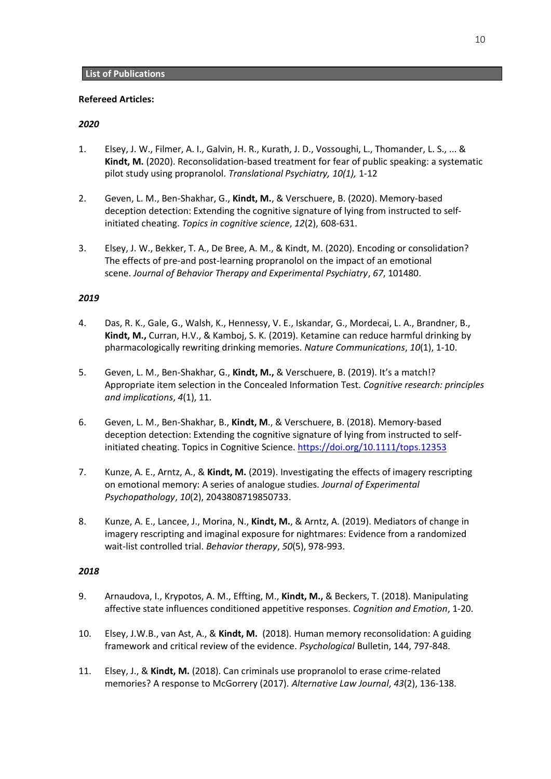## **Refereed Articles:**

## *2020*

- 1. Elsey, J. W., Filmer, A. I., Galvin, H. R., Kurath, J. D., Vossoughi, L., Thomander, L. S., ... & **Kindt, M.** (2020). Reconsolidation-based treatment for fear of public speaking: a systematic pilot study using propranolol. *Translational Psychiatry, 10(1),* 1-12
- 2. Geven, L. M., Ben‐Shakhar, G., **Kindt, M.**, & Verschuere, B. (2020). Memory‐based deception detection: Extending the cognitive signature of lying from instructed to self‐ initiated cheating. *Topics in cognitive science*, *12*(2), 608-631.
- 3. Elsey, J. W., Bekker, T. A., De Bree, A. M., & Kindt, M. (2020). Encoding or consolidation? The effects of pre-and post-learning propranolol on the impact of an emotional scene. *Journal of Behavior Therapy and Experimental Psychiatry*, *67*, 101480.

## *2019*

- 4. Das, R. K., Gale, G., Walsh, K., Hennessy, V. E., Iskandar, G., Mordecai, L. A., Brandner, B., **Kindt, M.,** Curran, H.V., & Kamboj, S. K. (2019). Ketamine can reduce harmful drinking by pharmacologically rewriting drinking memories. *Nature Communications*, *10*(1), 1-10.
- 5. Geven, L. M., Ben-Shakhar, G., **Kindt, M.,** & Verschuere, B. (2019). It's a match!? Appropriate item selection in the Concealed Information Test. *Cognitive research: principles and implications*, *4*(1), 11.
- 6. Geven, L. M., Ben-Shakhar, B., **Kindt, M**., & Verschuere, B. (2018). Memory-based deception detection: Extending the cognitive signature of lying from instructed to selfinitiated cheating. Topics in Cognitive Science. <https://doi.org/10.1111/tops.12353>
- 7. Kunze, A. E., Arntz, A., & **Kindt, M.** (2019). Investigating the effects of imagery rescripting on emotional memory: A series of analogue studies. *Journal of Experimental Psychopathology*, *10*(2), 2043808719850733.
- 8. Kunze, A. E., Lancee, J., Morina, N., **Kindt, M.**, & Arntz, A. (2019). Mediators of change in imagery rescripting and imaginal exposure for nightmares: Evidence from a randomized wait-list controlled trial. *Behavior therapy*, *50*(5), 978-993.

- 9. Arnaudova, I., Krypotos, A. M., Effting, M., **Kindt, M.,** & Beckers, T. (2018). Manipulating affective state influences conditioned appetitive responses. *Cognition and Emotion*, 1-20.
- 10. Elsey, J.W.B., van Ast, A., & **Kindt, M.** (2018). Human memory reconsolidation: A guiding framework and critical review of the evidence. *Psychological* Bulletin, 144, 797-848.
- 11. Elsey, J., & **Kindt, M.** (2018). Can criminals use propranolol to erase crime-related memories? A response to McGorrery (2017). *Alternative Law Journal*, *43*(2), 136-138.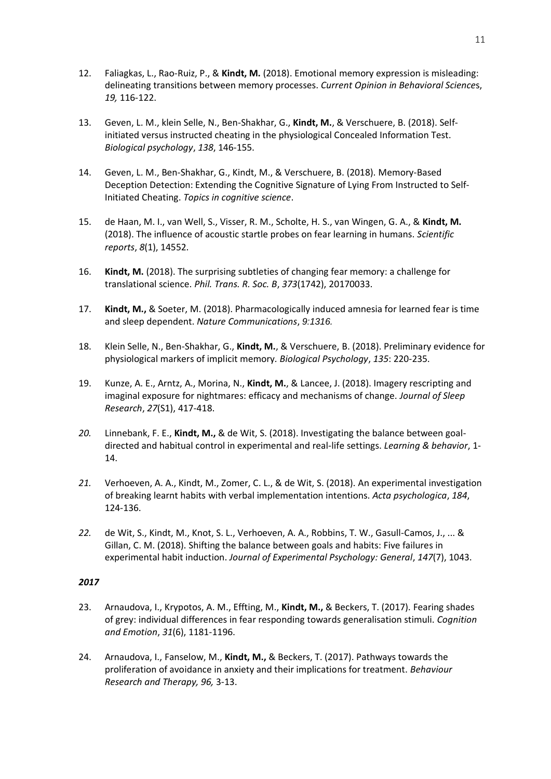- 12. Faliagkas, L., Rao-Ruiz, P., & **Kindt, M.** (2018). Emotional memory expression is misleading: delineating transitions between memory processes. *Current Opinion in Behavioral Science*s, *19,* 116-122.
- 13. Geven, L. M., klein Selle, N., Ben-Shakhar, G., **Kindt, M.**, & Verschuere, B. (2018). Selfinitiated versus instructed cheating in the physiological Concealed Information Test. *Biological psychology*, *138*, 146-155.
- 14. Geven, L. M., Ben‐Shakhar, G., Kindt, M., & Verschuere, B. (2018). Memory‐Based Deception Detection: Extending the Cognitive Signature of Lying From Instructed to Self‐ Initiated Cheating. *Topics in cognitive science*.
- 15. de Haan, M. I., van Well, S., Visser, R. M., Scholte, H. S., van Wingen, G. A., & **Kindt, M.** (2018). The influence of acoustic startle probes on fear learning in humans. *Scientific reports*, *8*(1), 14552.
- 16. **Kindt, M.** (2018). The surprising subtleties of changing fear memory: a challenge for translational science. *Phil. Trans. R. Soc. B*, *373*(1742), 20170033.
- 17. **Kindt, M.,** & Soeter, M. (2018). Pharmacologically induced amnesia for learned fear is time and sleep dependent. *Nature Communications*, *9:1316.*
- 18. Klein Selle, N., Ben-Shakhar, G., **Kindt, M.**, & Verschuere, B. (2018). Preliminary evidence for physiological markers of implicit memory*. Biological Psychology*, *135*: 220-235.
- 19. Kunze, A. E., Arntz, A., Morina, N., **Kindt, M.**, & Lancee, J. (2018). Imagery rescripting and imaginal exposure for nightmares: efficacy and mechanisms of change. *Journal of Sleep Research*, *27*(S1), 417-418.
- *20.* Linnebank, F. E., **Kindt, M.,** & de Wit, S. (2018). Investigating the balance between goaldirected and habitual control in experimental and real-life settings. *Learning & behavior*, 1- 14.
- *21.* Verhoeven, A. A., Kindt, M., Zomer, C. L., & de Wit, S. (2018). An experimental investigation of breaking learnt habits with verbal implementation intentions. *Acta psychologica*, *184*, 124-136.
- *22.* de Wit, S., Kindt, M., Knot, S. L., Verhoeven, A. A., Robbins, T. W., Gasull-Camos, J., ... & Gillan, C. M. (2018). Shifting the balance between goals and habits: Five failures in experimental habit induction. *Journal of Experimental Psychology: General*, *147*(7), 1043.

- 23. Arnaudova, I., Krypotos, A. M., Effting, M., **Kindt, M.,** & Beckers, T. (2017). Fearing shades of grey: individual differences in fear responding towards generalisation stimuli. *Cognition and Emotion*, *31*(6), 1181-1196.
- 24. Arnaudova, I., Fanselow, M., **Kindt, M.,** & Beckers, T. (2017). Pathways towards the proliferation of avoidance in anxiety and their implications for treatment. *Behaviour Research and Therapy, 96,* 3-13.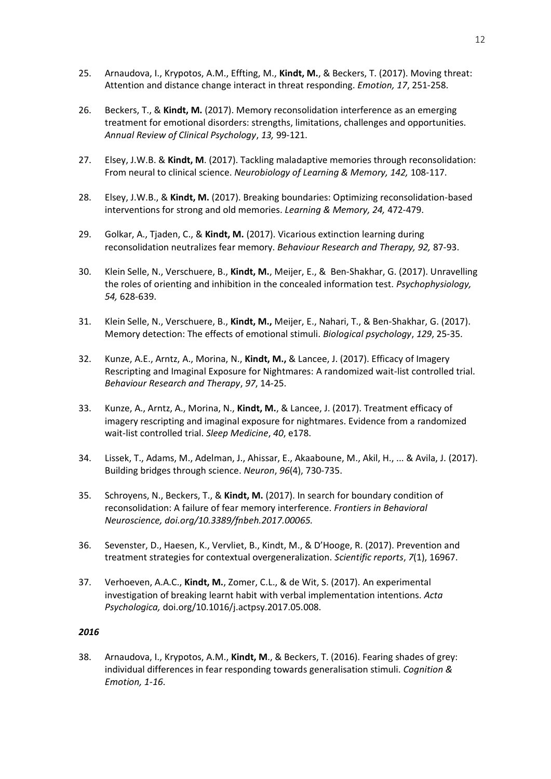- 25. Arnaudova, I., Krypotos, A.M., Effting, M., **Kindt, M.**, & Beckers, T. (2017). Moving threat: Attention and distance change interact in threat responding. *Emotion, 17*, 251-258.
- 26. Beckers, T., & **Kindt, M.** (2017). Memory reconsolidation interference as an emerging treatment for emotional disorders: strengths, limitations, challenges and opportunities. *Annual Review of Clinical Psychology*, *13,* 99-121.
- 27. Elsey, J.W.B. & **Kindt, M**. (2017). Tackling maladaptive memories through reconsolidation: From neural to clinical science. *Neurobiology of Learning & Memory, 142,* 108-117.
- 28. Elsey, J.W.B., & **Kindt, M.** (2017). Breaking boundaries: Optimizing reconsolidation-based interventions for strong and old memories. *Learning & Memory, 24,* 472-479.
- 29. Golkar, A., Tjaden, C., & **Kindt, M.** (2017). Vicarious extinction learning during reconsolidation neutralizes fear memory. *Behaviour Research and Therapy, 92,* 87-93.
- 30. Klein Selle, N., Verschuere, B., **Kindt, M.**, Meijer, E., & Ben-Shakhar, G. (2017). Unravelling the roles of orienting and inhibition in the concealed information test. *Psychophysiology, 54,* 628-639.
- 31. Klein Selle, N., Verschuere, B., **Kindt, M.,** Meijer, E., Nahari, T., & Ben-Shakhar, G. (2017). Memory detection: The effects of emotional stimuli. *Biological psychology*, *129*, 25-35.
- 32. Kunze, A.E., Arntz, A., Morina, N., **Kindt, M.,** & Lancee, J. (2017). Efficacy of Imagery Rescripting and Imaginal Exposure for Nightmares: A randomized wait-list controlled trial. *Behaviour Research and Therapy*, *97*, 14-25.
- 33. Kunze, A., Arntz, A., Morina, N., **Kindt, M.**, & Lancee, J. (2017). Treatment efficacy of imagery rescripting and imaginal exposure for nightmares. Evidence from a randomized wait-list controlled trial. *Sleep Medicine*, *40*, e178.
- 34. Lissek, T., Adams, M., Adelman, J., Ahissar, E., Akaaboune, M., Akil, H., ... & Avila, J. (2017). Building bridges through science. *Neuron*, *96*(4), 730-735.
- 35. Schroyens, N., Beckers, T., & **Kindt, M.** (2017). In search for boundary condition of reconsolidation: A failure of fear memory interference. *Frontiers in Behavioral Neuroscience, doi.org/10.3389/fnbeh.2017.00065.*
- 36. Sevenster, D., Haesen, K., Vervliet, B., Kindt, M., & D'Hooge, R. (2017). Prevention and treatment strategies for contextual overgeneralization. *Scientific reports*, *7*(1), 16967.
- 37. Verhoeven, A.A.C., **Kindt, M.**, Zomer, C.L., & de Wit, S. (2017). An experimental investigation of breaking learnt habit with verbal implementation intentions. *Acta Psychologica,* doi.org/10.1016/j.actpsy.2017.05.008.

38. Arnaudova, I., Krypotos, A.M., **Kindt, M**., & Beckers, T. (2016). Fearing shades of grey: individual differences in fear responding towards generalisation stimuli. *Cognition & Emotion, 1-16*.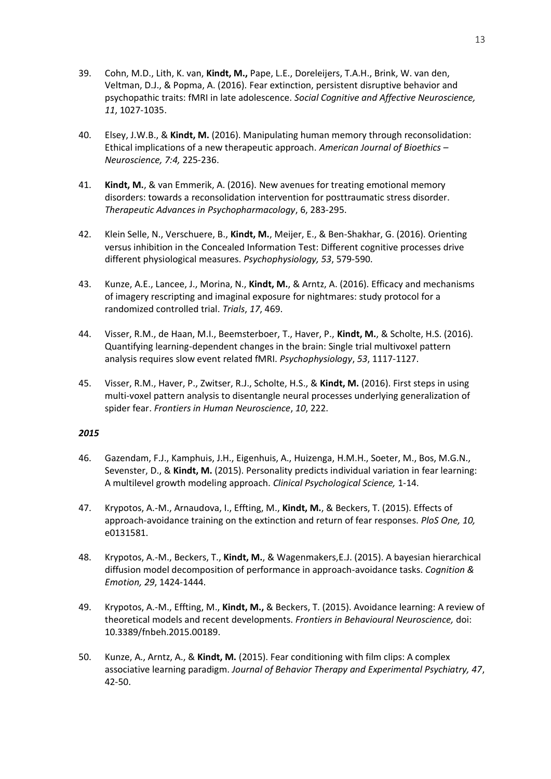- 39. Cohn, M.D., Lith, K. van, **Kindt, M.,** Pape, L.E., Doreleijers, T.A.H., Brink, W. van den, Veltman, D.J., & Popma, A. (2016). Fear extinction, persistent disruptive behavior and psychopathic traits: fMRI in late adolescence. *Social Cognitive and Affective Neuroscience, 11*, 1027-1035.
- 40. Elsey, J.W.B., & **Kindt, M.** (2016). Manipulating human memory through reconsolidation: Ethical implications of a new therapeutic approach. *American Journal of Bioethics – Neuroscience, 7:4,* 225-236.
- 41. **Kindt, M.**, & van Emmerik, A. (2016). New avenues for treating emotional memory disorders: towards a reconsolidation intervention for posttraumatic stress disorder. *Therapeutic Advances in Psychopharmacology*, 6, 283-295.
- 42. Klein Selle, N., Verschuere, B., **Kindt, M.**, Meijer, E., & Ben-Shakhar, G. (2016). Orienting versus inhibition in the Concealed Information Test: Different cognitive processes drive different physiological measures. *Psychophysiology, 53*, 579-590.
- 43. Kunze, A.E., Lancee, J., Morina, N., **Kindt, M.**, & Arntz, A. (2016). Efficacy and mechanisms of imagery rescripting and imaginal exposure for nightmares: study protocol for a randomized controlled trial. *Trials*, *17*, 469.
- 44. Visser, R.M., de Haan, M.I., Beemsterboer, T., Haver, P., **Kindt, M.**, & Scholte, H.S. (2016). Quantifying learning‐dependent changes in the brain: Single trial multivoxel pattern analysis requires slow event related fMRI. *Psychophysiology*, *53*, 1117-1127.
- 45. Visser, R.M., Haver, P., Zwitser, R.J., Scholte, H.S., & **Kindt, M.** (2016). First steps in using multi-voxel pattern analysis to disentangle neural processes underlying generalization of spider fear. *Frontiers in Human Neuroscience*, *10*, 222.

- 46. Gazendam, F.J., Kamphuis, J.H., Eigenhuis, A., Huizenga, H.M.H., Soeter, M., Bos, M.G.N., Sevenster, D., & **Kindt, M.** (2015). Personality predicts individual variation in fear learning: A multilevel growth modeling approach. *Clinical Psychological Science,* 1-14.
- 47. Krypotos, A.-M., Arnaudova, I., Effting, M., **Kindt, M.**, & Beckers, T. (2015). Effects of approach-avoidance training on the extinction and return of fear responses. *PloS One, 10,* e0131581.
- 48. Krypotos, A.-M., Beckers, T., **Kindt, M.**, & Wagenmakers,E.J. (2015). A bayesian hierarchical diffusion model decomposition of performance in approach-avoidance tasks. *Cognition & Emotion, 29*, 1424-1444.
- 49. Krypotos, A.-M., Effting, M., **Kindt, M.,** & Beckers, T. (2015). Avoidance learning: A review of theoretical models and recent developments. *Frontiers in Behavioural Neuroscience,* doi: 10.3389/fnbeh.2015.00189.
- 50. Kunze, A., Arntz, A., & **Kindt, M.** (2015). Fear conditioning with film clips: A complex associative learning paradigm. *Journal of Behavior Therapy and Experimental Psychiatry, 47*, 42-50.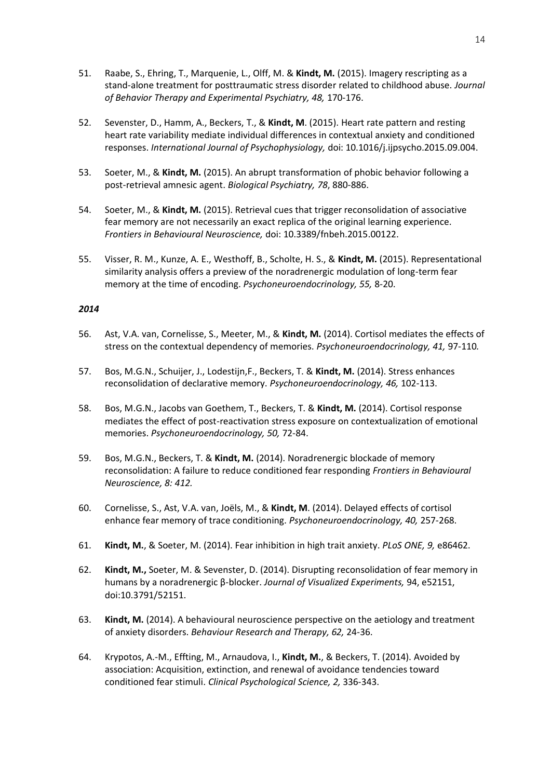- 51. Raabe, S., Ehring, T., Marquenie, L., Olff, M. & **Kindt, M.** (2015). Imagery rescripting as a stand-alone treatment for posttraumatic stress disorder related to childhood abuse. *Journal of Behavior Therapy and Experimental Psychiatry, 48,* 170-176.
- 52. Sevenster, D., Hamm, A., Beckers, T., & **Kindt, M**. (2015). Heart rate pattern and resting heart rate variability mediate individual differences in contextual anxiety and conditioned responses. *International Journal of Psychophysiology,* doi: 10.1016/j.ijpsycho.2015.09.004.
- 53. Soeter, M., & **Kindt, M.** (2015). An abrupt transformation of phobic behavior following a post-retrieval amnesic agent. *Biological Psychiatry, 78*, 880-886.
- 54. Soeter, M., & **Kindt, M.** (2015). Retrieval cues that trigger reconsolidation of associative fear memory are not necessarily an exact replica of the original learning experience. *Frontiers in Behavioural Neuroscience,* doi: 10.3389/fnbeh.2015.00122.
- 55. Visser, R. M., Kunze, A. E., Westhoff, B., Scholte, H. S., & **Kindt, M.** (2015). Representational similarity analysis offers a preview of the noradrenergic modulation of long-term fear memory at the time of encoding. *Psychoneuroendocrinology, 55,* 8-20.

- 56. Ast, V.A. van, Cornelisse, S., Meeter, M., & **Kindt, M.** (2014). Cortisol mediates the effects of stress on the contextual dependency of memories. *Psychoneuroendocrinology, 41,* 97-110*.*
- 57. Bos, M.G.N., Schuijer, J., Lodestijn,F., Beckers, T. & **Kindt, M.** (2014). Stress enhances reconsolidation of declarative memory. *Psychoneuroendocrinology, 46,* 102-113.
- 58. Bos, M.G.N., Jacobs van Goethem, T., Beckers, T. & **Kindt, M.** (2014). Cortisol response mediates the effect of post-reactivation stress exposure on contextualization of emotional memories. *Psychoneuroendocrinology, 50,* 72-84.
- 59. Bos, M.G.N., Beckers, T. & **Kindt, M.** (2014). Noradrenergic blockade of memory reconsolidation: A failure to reduce conditioned fear responding *Frontiers in Behavioural Neuroscience, 8: 412.*
- 60. Cornelisse, S., Ast, V.A. van, Joëls, M., & **Kindt, M**. (2014). Delayed effects of cortisol enhance fear memory of trace conditioning. *Psychoneuroendocrinology, 40,* 257-268.
- 61. **Kindt, M.**, & Soeter, M. (2014). Fear inhibition in high trait anxiety. *PLoS ONE, 9,* e86462.
- 62. **Kindt, M.,** Soeter, M. & Sevenster, D. (2014). Disrupting reconsolidation of fear memory in humans by a noradrenergic β-blocker. *Journal of Visualized Experiments,* 94, e52151, doi:10.3791/52151.
- 63. **Kindt, M.** (2014). A behavioural neuroscience perspective on the aetiology and treatment of anxiety disorders. *Behaviour Research and Therapy, 62,* 24-36.
- 64. Krypotos, A.-M., Effting, M., Arnaudova, I., **Kindt, M.**, & Beckers, T. (2014). Avoided by association: Acquisition, extinction, and renewal of avoidance tendencies toward conditioned fear stimuli. *Clinical Psychological Science, 2,* 336-343.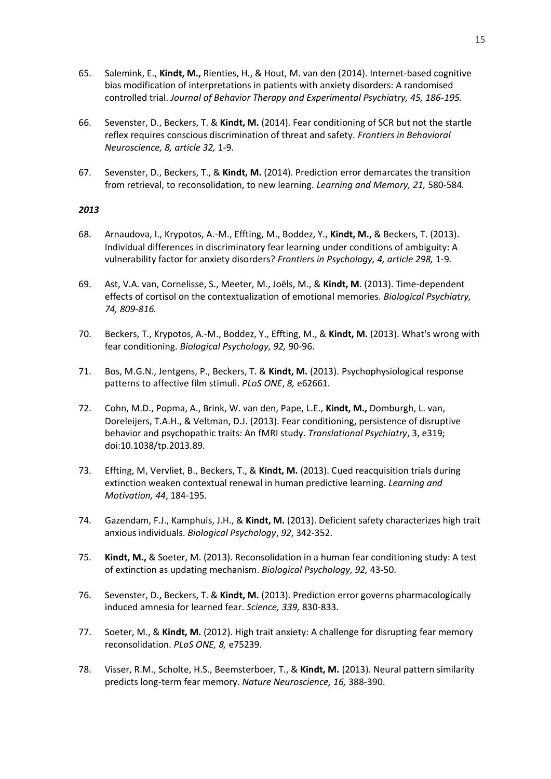- 65. Salemink, E., **Kindt, M.,** Rienties, H., & Hout, M. van den (2014). Internet-based cognitive bias modification of interpretations in patients with anxiety disorders: A randomised controlled trial. *Journal of Behavior Therapy and Experimental Psychiatry, 45, 186-195.*
- 66. Sevenster, D., Beckers, T. & **Kindt, M.** (2014). Fear conditioning of SCR but not the startle reflex requires conscious discrimination of threat and safety. *Frontiers in Behavioral Neuroscience, 8, article 32,* 1-9.
- 67. Sevenster, D., Beckers, T., & **Kindt, M.** (2014). Prediction error demarcates the transition from retrieval, to reconsolidation, to new learning. *Learning and Memory, 21,* 580-584*.*

- 68. Arnaudova, I., Krypotos, A.-M., Effting, M., Boddez, Y., **Kindt, M.,** & Beckers, T. (2013). Individual differences in discriminatory fear learning under conditions of ambiguity: A vulnerability factor for anxiety disorders? *Frontiers in Psychology, 4, article 298,* 1-9*.*
- 69. Ast, V.A. van, Cornelisse, S., Meeter, M., Joëls, M., & **Kindt, M**. (2013). Time-dependent effects of cortisol on the contextualization of emotional memories. *Biological Psychiatry, 74, 809-816.*
- 70. Beckers, T., Krypotos, A.-M., Boddez, Y., Effting, M., & **Kindt, M.** (2013). What's wrong with fear conditioning. *Biological Psychology, 92,* 90-96.
- 71. Bos, M.G.N., Jentgens, P., Beckers, T. & **Kindt, M.** (2013). Psychophysiological response patterns to affective film stimuli. *PLoS ONE*, *8,* e62661.
- 72. Cohn, M.D., Popma, A., Brink, W. van den, Pape, L.E., **Kindt, M.,** Domburgh, L. van, Doreleijers, T.A.H., & Veltman, D.J. (2013). Fear conditioning, persistence of disruptive behavior and psychopathic traits: An fMRI study. *Translational Psychiatry*, 3, e319; doi:10.1038/tp.2013.89.
- 73. Effting, M, Vervliet, B., Beckers, T., & **Kindt, M.** (2013). Cued reacquisition trials during extinction weaken contextual renewal in human predictive learning. *Learning and Motivation, 44*, 184-195.
- 74. Gazendam, F.J., Kamphuis, J.H., & **Kindt, M.** (2013). Deficient safety characterizes high trait anxious individuals. *Biological Psychology*, *92*, 342-352.
- 75. **Kindt, M.,** & Soeter, M. (2013). Reconsolidation in a human fear conditioning study: A test of extinction as updating mechanism. *Biological Psychology, 92,* 43-50.
- 76. Sevenster, D., Beckers, T. & **Kindt, M.** (2013). Prediction error governs pharmacologically induced amnesia for learned fear. *Science, 339,* 830-833.
- 77. Soeter, M., & **Kindt, M.** (2012). High trait anxiety: A challenge for disrupting fear memory reconsolidation. *PLoS ONE, 8,* e75239.
- 78. Visser, R.M., Scholte, H.S., Beemsterboer, T., & **Kindt, M.** (2013). Neural pattern similarity predicts long-term fear memory. *Nature Neuroscience, 16,* 388-390.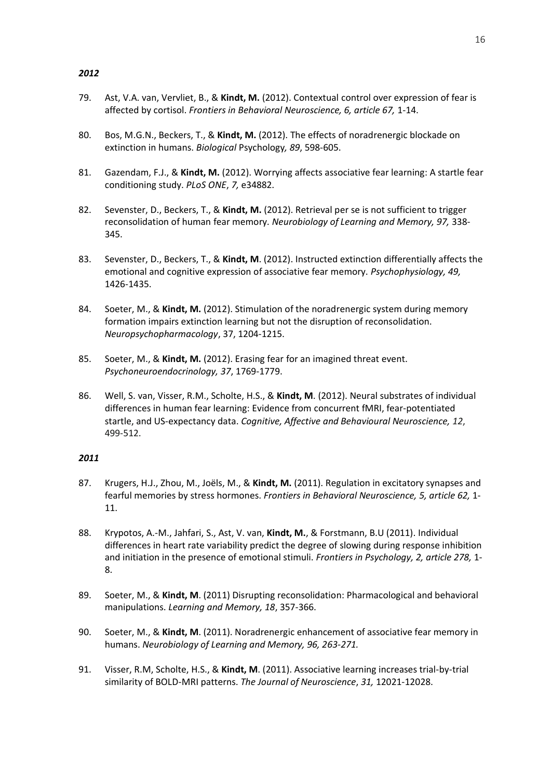- 79. Ast, V.A. van, Vervliet, B., & **Kindt, M.** (2012). Contextual control over expression of fear is affected by cortisol. *Frontiers in Behavioral Neuroscience, 6, article 67,* 1-14.
- 80. Bos, M.G.N., Beckers, T., & **Kindt, M.** (2012). The effects of noradrenergic blockade on extinction in humans. *Biological* Psychology*, 89*, 598-605.
- 81. Gazendam, F.J., & **Kindt, M.** (2012). Worrying affects associative fear learning: A startle fear conditioning study. *PLoS ONE*, *7,* e34882.
- 82. Sevenster, D., Beckers, T., & **Kindt, M.** (2012). Retrieval per se is not sufficient to trigger reconsolidation of human fear memory*. Neurobiology of Learning and Memory, 97,* 338- 345.
- 83. Sevenster, D., Beckers, T., & **Kindt, M**. (2012). Instructed extinction differentially affects the emotional and cognitive expression of associative fear memory. *Psychophysiology, 49,*  1426-1435.
- 84. Soeter, M., & **Kindt, M.** (2012). Stimulation of the noradrenergic system during memory formation impairs extinction learning but not the disruption of reconsolidation. *Neuropsychopharmacology*, 37, 1204-1215.
- 85. Soeter, M., & **Kindt, M.** (2012). Erasing fear for an imagined threat event. *Psychoneuroendocrinology, 37*, 1769-1779.
- 86. Well, S. van, Visser, R.M., Scholte, H.S., & **Kindt, M**. (2012). Neural substrates of individual differences in human fear learning: Evidence from concurrent fMRI, fear-potentiated startle, and US-expectancy data. *Cognitive, Affective and Behavioural Neuroscience, 12*, 499-512.

- 87. Krugers, H.J., Zhou, M., Joëls, M., & **Kindt, M.** (2011). Regulation in excitatory synapses and fearful memories by stress hormones. *Frontiers in Behavioral Neuroscience, 5, article 62,* 1- 11.
- 88. Krypotos, A.-M., Jahfari, S., Ast, V. van, **Kindt, M.**, & Forstmann, B.U (2011). Individual differences in heart rate variability predict the degree of slowing during response inhibition and initiation in the presence of emotional stimuli. *Frontiers in Psychology, 2, article 278,* 1- 8.
- 89. Soeter, M., & **Kindt, M**. (2011) Disrupting reconsolidation: Pharmacological and behavioral manipulations. *Learning and Memory, 18*, 357-366.
- 90. Soeter, M., & **Kindt, M**. (2011). Noradrenergic enhancement of associative fear memory in humans. *Neurobiology of Learning and Memory, 96, 263-271.*
- 91. Visser, R.M, Scholte, H.S., & **Kindt, M**. (2011). Associative learning increases trial-by-trial similarity of BOLD-MRI patterns. *The Journal of Neuroscience*, *31,* 12021-12028.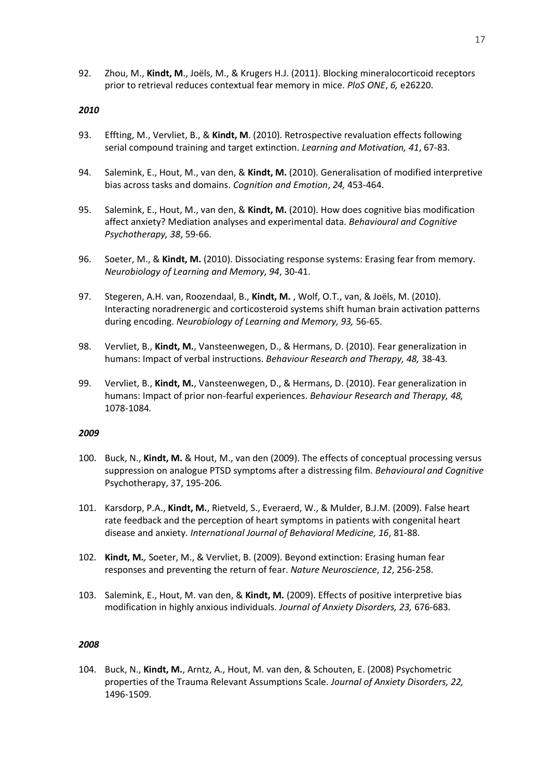92. Zhou, M., **Kindt, M**., Joëls, M., & Krugers H.J. (2011). Blocking mineralocorticoid receptors prior to retrieval reduces contextual fear memory in mice. *PloS ONE*, *6,* e26220.

#### *2010*

- 93. Effting, M., Vervliet, B., & **Kindt, M**. (2010). Retrospective revaluation effects following serial compound training and target extinction. *Learning and Motivation, 41*, 67-83.
- 94. Salemink, E., Hout, M., van den, & **Kindt, M.** (2010). Generalisation of modified interpretive bias across tasks and domains. *Cognition and Emotion*, *24,* 453-464.
- 95. Salemink, E., Hout, M., van den, & **Kindt, M.** (2010). How does cognitive bias modification affect anxiety? Mediation analyses and experimental data. *Behavioural and Cognitive Psychotherapy, 38*, 59-66.
- 96. Soeter, M., & **Kindt, M.** (2010). Dissociating response systems: Erasing fear from memory. *Neurobiology of Learning and Memory, 94*, 30-41.
- 97. Stegeren, A.H. van, Roozendaal, B., **Kindt, M.** , Wolf, O.T., van, & Joëls, M. (2010). Interacting noradrenergic and corticosteroid systems shift human brain activation patterns during encoding. *Neurobiology of Learning and Memory, 93,* 56-65.
- 98. Vervliet, B., **Kindt, M.**, Vansteenwegen, D., & Hermans, D. (2010). Fear generalization in humans: Impact of verbal instructions. *Behaviour Research and Therapy, 48,* 38-43*.*
- 99. Vervliet, B., **Kindt, M.**, Vansteenwegen, D., & Hermans, D. (2010). Fear generalization in humans: Impact of prior non-fearful experiences. *Behaviour Research and Therapy, 48,*  1078-1084*.*

#### *2009*

- 100. Buck, N., **Kindt, M.** & Hout, M., van den (2009). The effects of conceptual processing versus suppression on analogue PTSD symptoms after a distressing film. *Behavioural and Cognitive*  Psychotherapy, 37, 195-206*.*
- 101. Karsdorp, P.A., **Kindt, M.**, Rietveld, S., Everaerd, W., & Mulder, B.J.M. (2009). False heart rate feedback and the perception of heart symptoms in patients with congenital heart disease and anxiety. *International Journal of Behavioral Medicine, 16*, 81-88.
- 102. **Kindt, M.***,* Soeter, M., & Vervliet, B. (2009). Beyond extinction: Erasing human fear responses and preventing the return of fear. *Nature Neuroscience*, *12*, 256-258.
- 103. Salemink, E., Hout, M. van den, & **Kindt, M.** (2009). Effects of positive interpretive bias modification in highly anxious individuals. *Journal of Anxiety Disorders, 23,* 676-683*.*

### *2008*

104. Buck, N., **Kindt, M.**, Arntz, A., Hout, M. van den, & Schouten, E. (2008) Psychometric properties of the Trauma Relevant Assumptions Scale. *Journal of Anxiety Disorders, 22,* 1496-1509.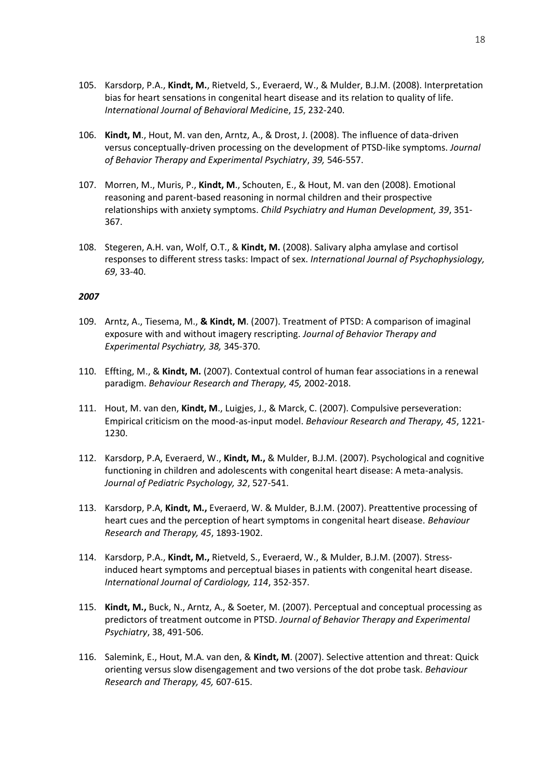- 105. Karsdorp, P.A., **Kindt, M.**, Rietveld, S., Everaerd, W., & Mulder, B.J.M. (2008). Interpretation bias for heart sensations in congenital heart disease and its relation to quality of life. *International Journal of Behavioral Medicin*e, *15*, 232-240.
- 106. **Kindt, M**., Hout, M. van den, Arntz, A., & Drost, J. (2008). The influence of data-driven versus conceptually-driven processing on the development of PTSD-like symptoms. *Journal of Behavior Therapy and Experimental Psychiatry*, *39,* 546-557.
- 107. Morren, M., Muris, P., **Kindt, M**., Schouten, E., & Hout, M. van den (2008). Emotional reasoning and parent-based reasoning in normal children and their prospective relationships with anxiety symptoms. *Child Psychiatry and Human Development, 39*, 351- 367.
- 108. Stegeren, A.H. van, Wolf, O.T., & **Kindt, M.** (2008). Salivary alpha amylase and cortisol responses to different stress tasks: Impact of sex. *International Journal of Psychophysiology, 69*, 33-40.

- 109. Arntz, A., Tiesema, M., **& Kindt, M**. (2007). Treatment of PTSD: A comparison of imaginal exposure with and without imagery rescripting. *Journal of Behavior Therapy and Experimental Psychiatry, 38,* 345-370.
- 110. Effting, M., & **Kindt, M.** (2007). Contextual control of human fear associations in a renewal paradigm. *Behaviour Research and Therapy, 45,* 2002-2018.
- 111. Hout, M. van den, **Kindt, M**., Luigjes, J., & Marck, C. (2007). Compulsive perseveration: Empirical criticism on the mood-as-input model. *Behaviour Research and Therapy, 45*, 1221- 1230.
- 112. Karsdorp, P.A, Everaerd, W., **Kindt, M.,** & Mulder, B.J.M. (2007). Psychological and cognitive functioning in children and adolescents with congenital heart disease: A meta-analysis. *Journal of Pediatric Psychology, 32*, 527-541.
- 113. Karsdorp, P.A, **Kindt, M.,** Everaerd, W. & Mulder, B.J.M. (2007). Preattentive processing of heart cues and the perception of heart symptoms in congenital heart disease. *Behaviour Research and Therapy, 45*, 1893-1902.
- 114. Karsdorp, P.A., **Kindt, M.,** Rietveld, S., Everaerd, W., & Mulder, B.J.M. (2007). Stressinduced heart symptoms and perceptual biases in patients with congenital heart disease. *International Journal of Cardiology, 114*, 352-357.
- 115. **Kindt, M.,** Buck, N., Arntz, A., & Soeter, M. (2007). Perceptual and conceptual processing as predictors of treatment outcome in PTSD. *Journal of Behavior Therapy and Experimental Psychiatry*, 38, 491-506.
- 116. Salemink, E., Hout, M.A. van den, & **Kindt, M**. (2007). Selective attention and threat: Quick orienting versus slow disengagement and two versions of the dot probe task. *Behaviour Research and Therapy, 45,* 607-615.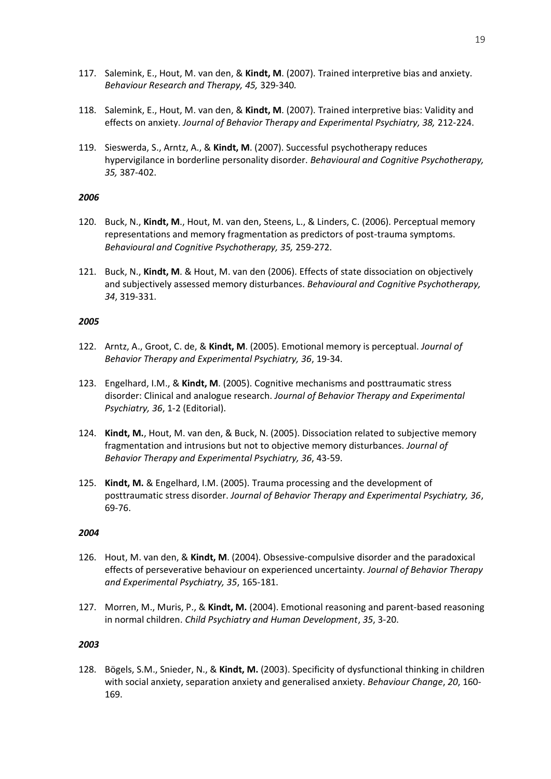- 117. Salemink, E., Hout, M. van den, & **Kindt, M**. (2007). Trained interpretive bias and anxiety. *Behaviour Research and Therapy, 45,* 329-340*.*
- 118. Salemink, E., Hout, M. van den, & **Kindt, M**. (2007). Trained interpretive bias: Validity and effects on anxiety. *Journal of Behavior Therapy and Experimental Psychiatry, 38,* 212-224.
- 119. Sieswerda, S., Arntz, A., & **Kindt, M**. (2007). Successful psychotherapy reduces hypervigilance in borderline personality disorder. *Behavioural and Cognitive Psychotherapy, 35,* 387-402.

- 120. Buck, N., **Kindt, M**., Hout, M. van den, Steens, L., & Linders, C. (2006). Perceptual memory representations and memory fragmentation as predictors of post-trauma symptoms. *Behavioural and Cognitive Psychotherapy, 35,* 259-272.
- 121. Buck, N., **Kindt, M**. & Hout, M. van den (2006). Effects of state dissociation on objectively and subjectively assessed memory disturbances. *Behavioural and Cognitive Psychotherapy, 34*, 319-331.

### *2005*

- 122. Arntz, A., Groot, C. de, & **Kindt, M**. (2005). Emotional memory is perceptual. *Journal of Behavior Therapy and Experimental Psychiatry, 36*, 19-34.
- 123. Engelhard, I.M., & **Kindt, M**. (2005). Cognitive mechanisms and posttraumatic stress disorder: Clinical and analogue research. *Journal of Behavior Therapy and Experimental Psychiatry, 36*, 1-2 (Editorial).
- 124. **Kindt, M.**, Hout, M. van den, & Buck, N. (2005). Dissociation related to subjective memory fragmentation and intrusions but not to objective memory disturbances. *Journal of Behavior Therapy and Experimental Psychiatry, 36*, 43-59.
- 125. **Kindt, M.** & Engelhard, I.M. (2005). Trauma processing and the development of posttraumatic stress disorder. *Journal of Behavior Therapy and Experimental Psychiatry, 36*, 69-76.

#### *2004*

- 126. Hout, M. van den, & **Kindt, M**. (2004). Obsessive-compulsive disorder and the paradoxical effects of perseverative behaviour on experienced uncertainty. *Journal of Behavior Therapy and Experimental Psychiatry, 35*, 165-181.
- 127. Morren, M., Muris, P., & **Kindt, M.** (2004). Emotional reasoning and parent-based reasoning in normal children. *Child Psychiatry and Human Development*, *35*, 3-20.

### *2003*

128. Bögels, S.M., Snieder, N., & **Kindt, M.** (2003). Specificity of dysfunctional thinking in children with social anxiety, separation anxiety and generalised anxiety. *Behaviour Change*, *20*, 160- 169.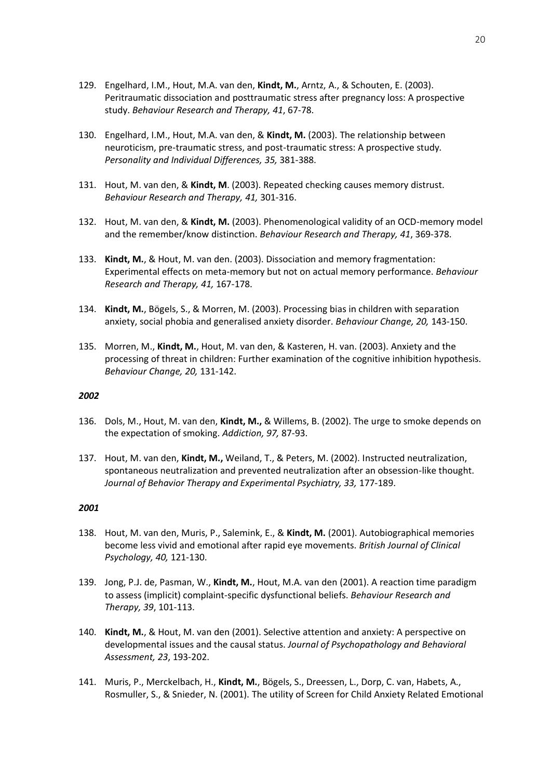- 129. Engelhard, I.M., Hout, M.A. van den, **Kindt, M.**, Arntz, A., & Schouten, E. (2003). Peritraumatic dissociation and posttraumatic stress after pregnancy loss: A prospective study. *Behaviour Research and Therapy, 41*, 67-78.
- 130. Engelhard, I.M., Hout, M.A. van den, & **Kindt, M.** (2003). The relationship between neuroticism, pre-traumatic stress, and post-traumatic stress: A prospective study*. Personality and Individual Differences, 35,* 381-388.
- 131. Hout, M. van den, & **Kindt, M**. (2003). Repeated checking causes memory distrust. *Behaviour Research and Therapy, 41,* 301-316.
- 132. Hout, M. van den, & **Kindt, M.** (2003). Phenomenological validity of an OCD-memory model and the remember/know distinction. *Behaviour Research and Therapy, 41*, 369-378.
- 133. **Kindt, M.**, & Hout, M. van den. (2003). Dissociation and memory fragmentation: Experimental effects on meta-memory but not on actual memory performance. *Behaviour Research and Therapy, 41,* 167-178.
- 134. **Kindt, M.**, Bögels, S., & Morren, M. (2003). Processing bias in children with separation anxiety, social phobia and generalised anxiety disorder. *Behaviour Change, 20,* 143-150.
- 135. Morren, M., **Kindt, M.**, Hout, M. van den, & Kasteren, H. van. (2003). Anxiety and the processing of threat in children: Further examination of the cognitive inhibition hypothesis. *Behaviour Change, 20,* 131-142.

- 136. Dols, M., Hout, M. van den, **Kindt, M.,** & Willems, B. (2002). The urge to smoke depends on the expectation of smoking. *Addiction, 97,* 87-93.
- 137. Hout, M. van den, **Kindt, M.,** Weiland, T., & Peters, M. (2002). Instructed neutralization, spontaneous neutralization and prevented neutralization after an obsession-like thought. *Journal of Behavior Therapy and Experimental Psychiatry, 33,* 177-189.

- 138. Hout, M. van den, Muris, P., Salemink, E., & **Kindt, M.** (2001). Autobiographical memories become less vivid and emotional after rapid eye movements. *British Journal of Clinical Psychology, 40,* 121-130.
- 139. Jong, P.J. de, Pasman, W., **Kindt, M.**, Hout, M.A. van den (2001). A reaction time paradigm to assess (implicit) complaint-specific dysfunctional beliefs. *Behaviour Research and Therapy, 39*, 101-113.
- 140. **Kindt, M.**, & Hout, M. van den (2001). Selective attention and anxiety: A perspective on developmental issues and the causal status. *Journal of Psychopathology and Behavioral Assessment, 23*, 193-202.
- 141. Muris, P., Merckelbach, H., **Kindt, M.**, Bögels, S., Dreessen, L., Dorp, C. van, Habets, A., Rosmuller, S., & Snieder, N. (2001). The utility of Screen for Child Anxiety Related Emotional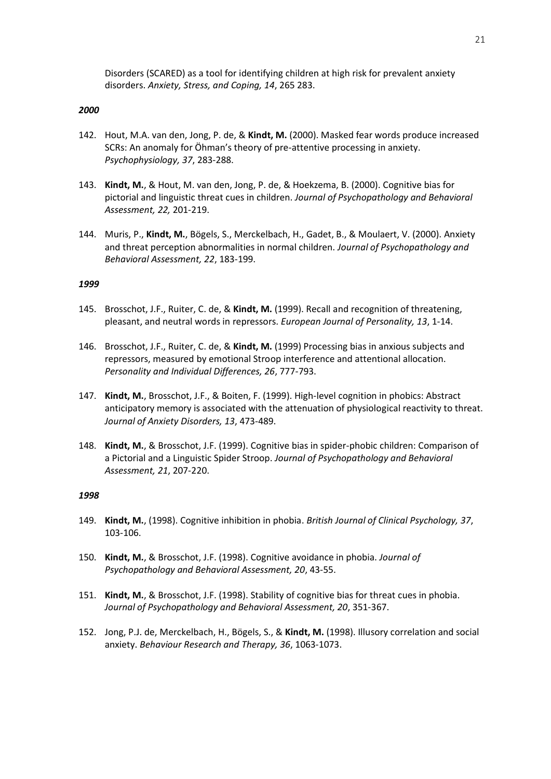Disorders (SCARED) as a tool for identifying children at high risk for prevalent anxiety disorders. *Anxiety, Stress, and Coping, 14*, 265 283.

#### *2000*

- 142. Hout, M.A. van den, Jong, P. de, & **Kindt, M.** (2000). Masked fear words produce increased SCRs: An anomaly for Öhman's theory of pre-attentive processing in anxiety. *Psychophysiology, 37*, 283-288.
- 143. **Kindt, M.**, & Hout, M. van den, Jong, P. de, & Hoekzema, B. (2000). Cognitive bias for pictorial and linguistic threat cues in children. *Journal of Psychopathology and Behavioral Assessment, 22,* 201-219.
- 144. Muris, P., **Kindt, M.**, Bögels, S., Merckelbach, H., Gadet, B., & Moulaert, V. (2000). Anxiety and threat perception abnormalities in normal children. *Journal of Psychopathology and Behavioral Assessment, 22*, 183-199.

#### *1999*

- 145. Brosschot, J.F., Ruiter, C. de, & **Kindt, M.** (1999). Recall and recognition of threatening, pleasant, and neutral words in repressors. *European Journal of Personality, 13*, 1-14.
- 146. Brosschot, J.F., Ruiter, C. de, & **Kindt, M.** (1999) Processing bias in anxious subjects and repressors, measured by emotional Stroop interference and attentional allocation. *Personality and Individual Differences, 26*, 777-793.
- 147. **Kindt, M.**, Brosschot, J.F., & Boiten, F. (1999). High-level cognition in phobics: Abstract anticipatory memory is associated with the attenuation of physiological reactivity to threat. *Journal of Anxiety Disorders, 13*, 473-489.
- 148. **Kindt, M.**, & Brosschot, J.F. (1999). Cognitive bias in spider-phobic children: Comparison of a Pictorial and a Linguistic Spider Stroop. *Journal of Psychopathology and Behavioral Assessment, 21*, 207-220.

- 149. **Kindt, M.**, (1998). Cognitive inhibition in phobia. *British Journal of Clinical Psychology, 37*, 103-106.
- 150. **Kindt, M.**, & Brosschot, J.F. (1998). Cognitive avoidance in phobia. *Journal of Psychopathology and Behavioral Assessment, 20*, 43-55.
- 151. **Kindt, M.**, & Brosschot, J.F. (1998). Stability of cognitive bias for threat cues in phobia. *Journal of Psychopathology and Behavioral Assessment, 20*, 351-367.
- 152. Jong, P.J. de, Merckelbach, H., Bögels, S., & **Kindt, M.** (1998). Illusory correlation and social anxiety. *Behaviour Research and Therapy, 36*, 1063-1073.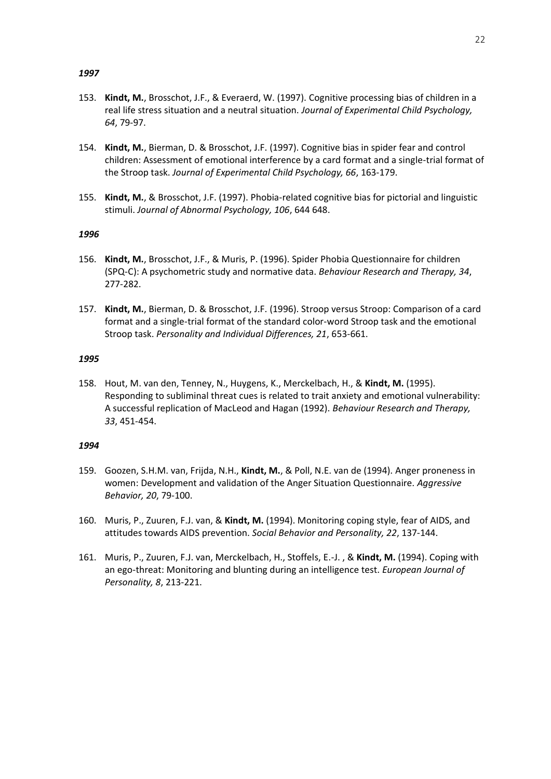- 153. **Kindt, M.**, Brosschot, J.F., & Everaerd, W. (1997). Cognitive processing bias of children in a real life stress situation and a neutral situation. *Journal of Experimental Child Psychology, 64*, 79-97.
- 154. **Kindt, M.**, Bierman, D. & Brosschot, J.F. (1997). Cognitive bias in spider fear and control children: Assessment of emotional interference by a card format and a single-trial format of the Stroop task. *Journal of Experimental Child Psychology, 66*, 163-179.
- 155. **Kindt, M.**, & Brosschot, J.F. (1997). Phobia-related cognitive bias for pictorial and linguistic stimuli. *Journal of Abnormal Psychology, 106*, 644 648.

#### *1996*

- 156. **Kindt, M.**, Brosschot, J.F., & Muris, P. (1996). Spider Phobia Questionnaire for children (SPQ-C): A psychometric study and normative data. *Behaviour Research and Therapy, 34*, 277-282.
- 157. **Kindt, M.**, Bierman, D. & Brosschot, J.F. (1996). Stroop versus Stroop: Comparison of a card format and a single-trial format of the standard color-word Stroop task and the emotional Stroop task. *Personality and Individual Differences, 21*, 653-661.

### *1995*

158. Hout, M. van den, Tenney, N., Huygens, K., Merckelbach, H., & **Kindt, M.** (1995). Responding to subliminal threat cues is related to trait anxiety and emotional vulnerability: A successful replication of MacLeod and Hagan (1992). *Behaviour Research and Therapy, 33*, 451-454.

- 159. Goozen, S.H.M. van, Frijda, N.H., **Kindt, M.**, & Poll, N.E. van de (1994). Anger proneness in women: Development and validation of the Anger Situation Questionnaire. *Aggressive Behavior, 20*, 79-100.
- 160. Muris, P., Zuuren, F.J. van, & **Kindt, M.** (1994). Monitoring coping style, fear of AIDS, and attitudes towards AIDS prevention. *Social Behavior and Personality, 22*, 137-144.
- 161. Muris, P., Zuuren, F.J. van, Merckelbach, H., Stoffels, E.-J. , & **Kindt, M.** (1994). Coping with an ego-threat: Monitoring and blunting during an intelligence test. *European Journal of Personality, 8*, 213-221.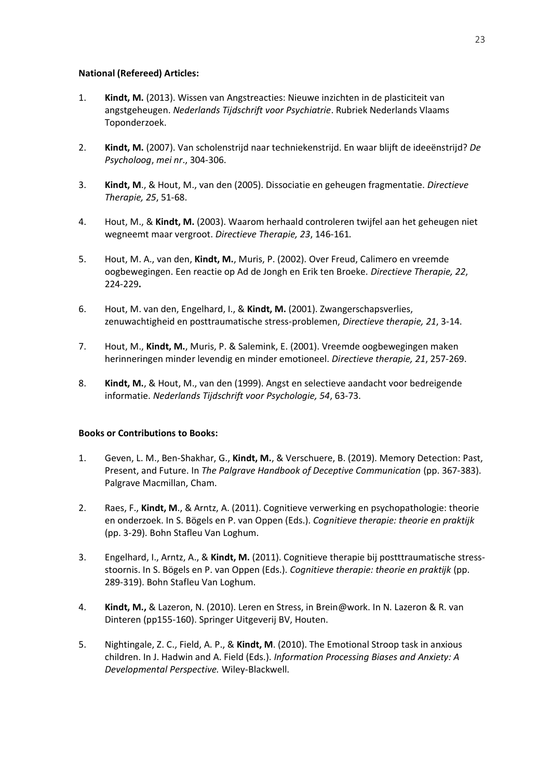## **National (Refereed) Articles:**

- 1. **Kindt, M.** (2013). Wissen van Angstreacties: Nieuwe inzichten in de plasticiteit van angstgeheugen. *Nederlands Tijdschrift voor Psychiatrie*. Rubriek Nederlands Vlaams Toponderzoek.
- 2. **Kindt, M.** (2007). Van scholenstrijd naar techniekenstrijd. En waar blijft de ideeënstrijd? *De Psycholoog*, *mei nr*., 304-306.
- 3. **Kindt, M**., & Hout, M., van den (2005). Dissociatie en geheugen fragmentatie. *Directieve Therapie, 25*, 51-68.
- 4. Hout, M., & **Kindt, M.** (2003). Waarom herhaald controleren twijfel aan het geheugen niet wegneemt maar vergroot. *Directieve Therapie, 23*, 146-161*.*
- 5. Hout, M. A., van den, **Kindt, M.**, Muris, P. (2002). Over Freud, Calimero en vreemde oogbewegingen. Een reactie op Ad de Jongh en Erik ten Broeke. *Directieve Therapie, 22*, 224-229**.**
- 6. Hout, M. van den, Engelhard, I., & **Kindt, M.** (2001). Zwangerschapsverlies, zenuwachtigheid en posttraumatische stress-problemen, *Directieve therapie, 21*, 3-14.
- 7. Hout, M., **Kindt, M.**, Muris, P. & Salemink, E. (2001). Vreemde oogbewegingen maken herinneringen minder levendig en minder emotioneel. *Directieve therapie, 21*, 257-269.
- 8. **Kindt, M.**, & Hout, M., van den (1999). Angst en selectieve aandacht voor bedreigende informatie. *Nederlands Tijdschrift voor Psychologie, 54*, 63-73.

## **Books or Contributions to Books:**

- 1. Geven, L. M., Ben-Shakhar, G., **Kindt, M.**, & Verschuere, B. (2019). Memory Detection: Past, Present, and Future. In *The Palgrave Handbook of Deceptive Communication* (pp. 367-383). Palgrave Macmillan, Cham.
- 2. Raes, F., **Kindt, M**., & Arntz, A. (2011). Cognitieve verwerking en psychopathologie: theorie en onderzoek. In S. Bögels en P. van Oppen (Eds.). *Cognitieve therapie: theorie en praktijk* (pp. 3-29). Bohn Stafleu Van Loghum.
- 3. Engelhard, I., Arntz, A., & **Kindt, M.** (2011). Cognitieve therapie bij postttraumatische stressstoornis. In S. Bögels en P. van Oppen (Eds.). *Cognitieve therapie: theorie en praktijk* (pp. 289-319). Bohn Stafleu Van Loghum.
- 4. **Kindt, M.,** & Lazeron, N. (2010). Leren en Stress, in Brein@work. In N. Lazeron & R. van Dinteren (pp155-160). Springer Uitgeverij BV, Houten.
- 5. Nightingale, Z. C., Field, A. P., & **Kindt, M**. (2010). The Emotional Stroop task in anxious children. In J. Hadwin and A. Field (Eds.). *Information Processing Biases and Anxiety: A Developmental Perspective.* Wiley-Blackwell.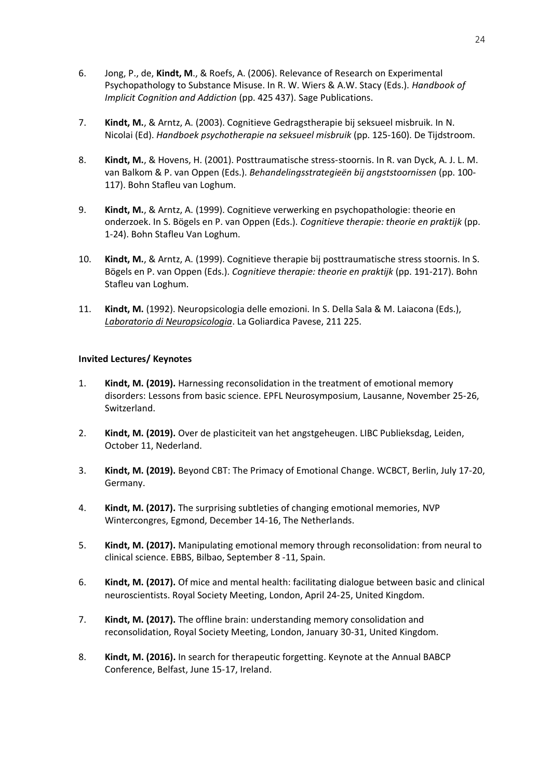- 6. Jong, P., de, **Kindt, M**., & Roefs, A. (2006). Relevance of Research on Experimental Psychopathology to Substance Misuse. In R. W. Wiers & A.W. Stacy (Eds.). *Handbook of Implicit Cognition and Addiction* (pp. 425 437). Sage Publications.
- 7. **Kindt, M.**, & Arntz, A. (2003). Cognitieve Gedragstherapie bij seksueel misbruik. In N. Nicolai (Ed). *Handboek psychotherapie na seksueel misbruik* (pp. 125-160). De Tijdstroom.
- 8. **Kindt, M.**, & Hovens, H. (2001). Posttraumatische stress-stoornis. In R. van Dyck, A. J. L. M. van Balkom & P. van Oppen (Eds.). *Behandelingsstrategieën bij angststoornissen* (pp. 100- 117). Bohn Stafleu van Loghum.
- 9. **Kindt, M.**, & Arntz, A. (1999). Cognitieve verwerking en psychopathologie: theorie en onderzoek. In S. Bögels en P. van Oppen (Eds.). *Cognitieve therapie: theorie en praktijk* (pp. 1-24). Bohn Stafleu Van Loghum.
- 10. **Kindt, M.**, & Arntz, A. (1999). Cognitieve therapie bij posttraumatische stress stoornis. In S. Bögels en P. van Oppen (Eds.). *Cognitieve therapie: theorie en praktijk* (pp. 191-217). Bohn Stafleu van Loghum.
- 11. **Kindt, M.** (1992). Neuropsicologia delle emozioni. In S. Della Sala & M. Laiacona (Eds.), *Laboratorio di Neuropsicologia*. La Goliardica Pavese, 211 225.

## **Invited Lectures/ Keynotes**

- 1. **Kindt, M. (2019).** Harnessing reconsolidation in the treatment of emotional memory disorders: Lessons from basic science. EPFL Neurosymposium, Lausanne, November 25-26, Switzerland.
- 2. **Kindt, M. (2019).** Over de plasticiteit van het angstgeheugen. LIBC Publieksdag, Leiden, October 11, Nederland.
- 3. **Kindt, M. (2019).** Beyond CBT: The Primacy of Emotional Change. WCBCT, Berlin, July 17-20, Germany.
- 4. **Kindt, M. (2017).** The surprising subtleties of changing emotional memories, NVP Wintercongres, Egmond, December 14-16, The Netherlands.
- 5. **Kindt, M. (2017).** Manipulating emotional memory through reconsolidation: from neural to clinical science. EBBS, Bilbao, September 8 -11, Spain.
- 6. **Kindt, M. (2017).** Of mice and mental health: facilitating dialogue between basic and clinical neuroscientists. Royal Society Meeting, London, April 24-25, United Kingdom.
- 7. **Kindt, M. (2017).** The offline brain: understanding memory consolidation and reconsolidation, Royal Society Meeting, London, January 30-31, United Kingdom.
- 8. **Kindt, M. (2016).** In search for therapeutic forgetting. Keynote at the Annual BABCP Conference, Belfast, June 15-17, Ireland.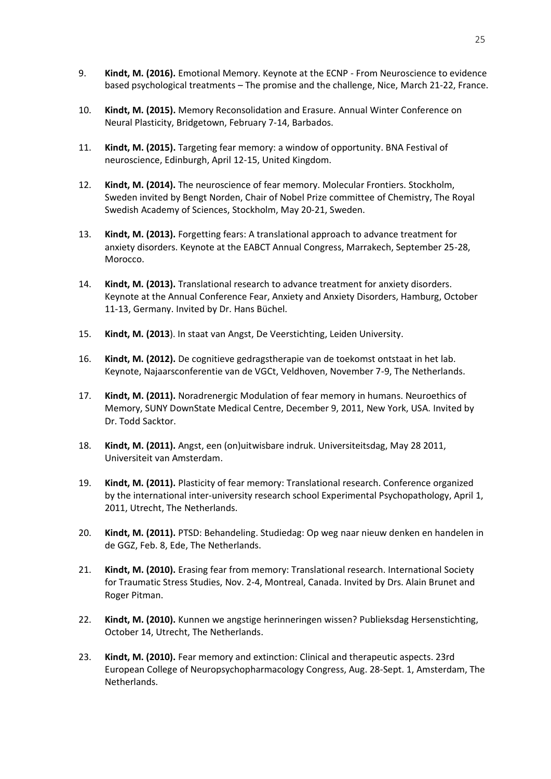- 9. **Kindt, M. (2016).** Emotional Memory. Keynote at the ECNP From Neuroscience to evidence based psychological treatments – The promise and the challenge, Nice, March 21-22, France.
- 10. **Kindt, M. (2015).** Memory Reconsolidation and Erasure. Annual Winter Conference on Neural Plasticity, Bridgetown, February 7-14, Barbados.
- 11. **Kindt, M. (2015).** Targeting fear memory: a window of opportunity. BNA Festival of neuroscience, Edinburgh, April 12-15, United Kingdom.
- 12. **Kindt, M. (2014).** The neuroscience of fear memory. Molecular Frontiers. Stockholm, Sweden invited by Bengt Norden, Chair of Nobel Prize committee of Chemistry, The Royal Swedish Academy of Sciences, Stockholm, May 20-21, Sweden.
- 13. **Kindt, M. (2013).** Forgetting fears: A translational approach to advance treatment for anxiety disorders. Keynote at the EABCT Annual Congress, Marrakech, September 25-28, Morocco.
- 14. **Kindt, M. (2013).** Translational research to advance treatment for anxiety disorders. Keynote at the Annual Conference Fear, Anxiety and Anxiety Disorders, Hamburg, October 11-13, Germany. Invited by Dr. Hans Büchel.
- 15. **Kindt, M. (2013**). In staat van Angst, De Veerstichting, Leiden University.
- 16. **Kindt, M. (2012).** De cognitieve gedragstherapie van de toekomst ontstaat in het lab. Keynote, Najaarsconferentie van de VGCt, Veldhoven, November 7-9, The Netherlands.
- 17. **Kindt, M. (2011).** Noradrenergic Modulation of fear memory in humans. Neuroethics of Memory, SUNY DownState Medical Centre, December 9, 2011, New York, USA. Invited by Dr. Todd Sacktor.
- 18. **Kindt, M. (2011).** Angst, een (on)uitwisbare indruk. Universiteitsdag, May 28 2011, Universiteit van Amsterdam.
- 19. **Kindt, M. (2011).** Plasticity of fear memory: Translational research. Conference organized by the international inter-university research school Experimental Psychopathology, April 1, 2011, Utrecht, The Netherlands.
- 20. **Kindt, M. (2011).** PTSD: Behandeling. Studiedag: Op weg naar nieuw denken en handelen in de GGZ, Feb. 8, Ede, The Netherlands.
- 21. **Kindt, M. (2010).** Erasing fear from memory: Translational research. International Society for Traumatic Stress Studies, Nov. 2-4, Montreal, Canada. Invited by Drs. Alain Brunet and Roger Pitman.
- 22. **Kindt, M. (2010).** Kunnen we angstige herinneringen wissen? Publieksdag Hersenstichting, October 14, Utrecht, The Netherlands.
- 23. **Kindt, M. (2010).** Fear memory and extinction: Clinical and therapeutic aspects. 23rd European College of Neuropsychopharmacology Congress, Aug. 28-Sept. 1, Amsterdam, The Netherlands.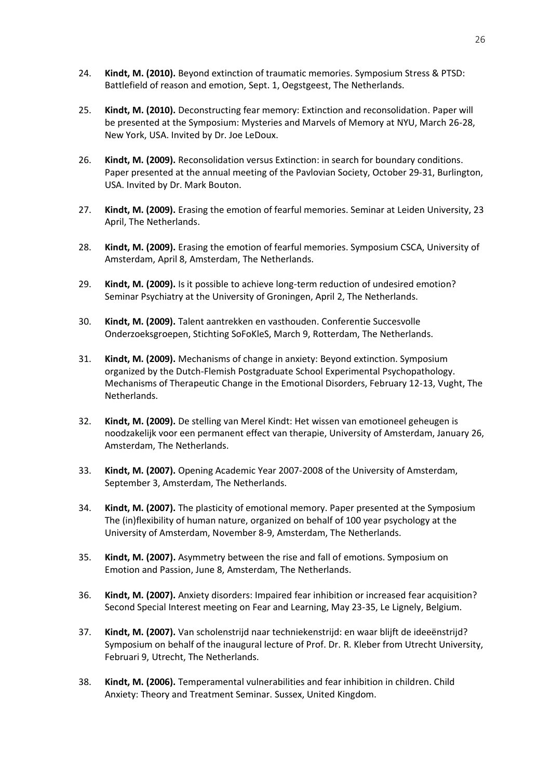- 24. **Kindt, M. (2010).** Beyond extinction of traumatic memories. Symposium Stress & PTSD: Battlefield of reason and emotion, Sept. 1, Oegstgeest, The Netherlands.
- 25. **Kindt, M. (2010).** Deconstructing fear memory: Extinction and reconsolidation. Paper will be presented at the Symposium: Mysteries and Marvels of Memory at NYU, March 26-28, New York, USA. Invited by Dr. Joe LeDoux.
- 26. **Kindt, M. (2009).** Reconsolidation versus Extinction: in search for boundary conditions. Paper presented at the annual meeting of the Pavlovian Society, October 29-31, Burlington, USA. Invited by Dr. Mark Bouton.
- 27. **Kindt, M. (2009).** Erasing the emotion of fearful memories. Seminar at Leiden University, 23 April, The Netherlands.
- 28. **Kindt, M. (2009).** Erasing the emotion of fearful memories. Symposium CSCA, University of Amsterdam, April 8, Amsterdam, The Netherlands.
- 29. **Kindt, M. (2009).** Is it possible to achieve long-term reduction of undesired emotion? Seminar Psychiatry at the University of Groningen, April 2, The Netherlands.
- 30. **Kindt, M. (2009).** Talent aantrekken en vasthouden. Conferentie Succesvolle Onderzoeksgroepen, Stichting SoFoKleS, March 9, Rotterdam, The Netherlands.
- 31. **Kindt, M. (2009).** Mechanisms of change in anxiety: Beyond extinction. Symposium organized by the Dutch-Flemish Postgraduate School Experimental Psychopathology. Mechanisms of Therapeutic Change in the Emotional Disorders, February 12-13, Vught, The Netherlands.
- 32. **Kindt, M. (2009).** De stelling van Merel Kindt: Het wissen van emotioneel geheugen is noodzakelijk voor een permanent effect van therapie, University of Amsterdam, January 26, Amsterdam, The Netherlands.
- 33. **Kindt, M. (2007).** Opening Academic Year 2007-2008 of the University of Amsterdam, September 3, Amsterdam, The Netherlands.
- 34. **Kindt, M. (2007).** The plasticity of emotional memory. Paper presented at the Symposium The (in)flexibility of human nature, organized on behalf of 100 year psychology at the University of Amsterdam, November 8-9, Amsterdam, The Netherlands.
- 35. **Kindt, M. (2007).** Asymmetry between the rise and fall of emotions. Symposium on Emotion and Passion, June 8, Amsterdam, The Netherlands.
- 36. **Kindt, M. (2007).** Anxiety disorders: Impaired fear inhibition or increased fear acquisition? Second Special Interest meeting on Fear and Learning, May 23-35, Le Lignely, Belgium.
- 37. **Kindt, M. (2007).** Van scholenstrijd naar techniekenstrijd: en waar blijft de ideeënstrijd? Symposium on behalf of the inaugural lecture of Prof. Dr. R. Kleber from Utrecht University, Februari 9, Utrecht, The Netherlands.
- 38. **Kindt, M. (2006).** Temperamental vulnerabilities and fear inhibition in children. Child Anxiety: Theory and Treatment Seminar. Sussex, United Kingdom.